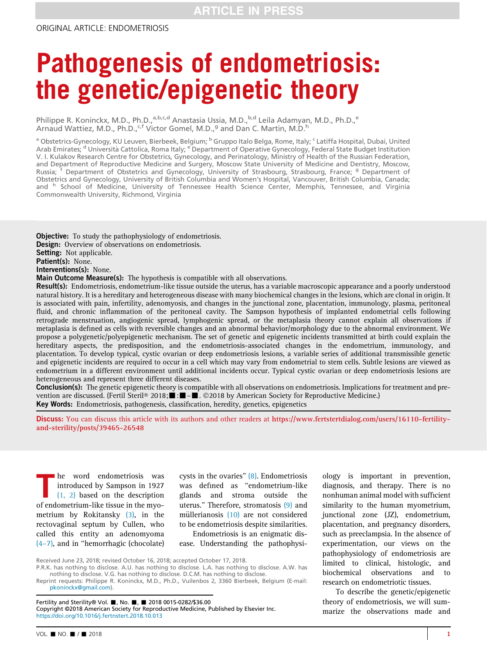# Pathogenesis of endometriosis: the genetic/epigenetic theory

Philippe R. Koninckx, M.D., Ph.D.,<sup>a,b,c,d</sup> Anastasia Ussia, M.D.,<sup>b,d</sup> Leila Adamyan, M.D., Ph.D.,<sup>e</sup> Arnaud Wattiez, M.D., Ph.D.,<sup>c,f</sup> Victor Gomel, M.D.,<sup>g</sup> and Dan C. Martin, M.D.<sup>h</sup>

a Obstetrics-Gynecology, KU Leuven, Bierbeek, Belgium; <sup>b</sup> Gruppo Italo Belga, Rome, Italy; <sup>c</sup> Latiffa Hospital, Dubai, United Arab Emirates; <sup>d</sup> Università Cattolica, Roma Italy; <sup>e</sup> Department of Operative Gynecology, Federal State Budget Institution V. I. Kulakov Research Centre for Obstetrics, Gynecology, and Perinatology, Ministry of Health of the Russian Federation, and Department of Reproductive Medicine and Surgery, Moscow State University of Medicine and Dentistry, Moscow, Russia; <sup>f</sup> Department of Obstetrics and Gynecology, University of Strasbourg, Strasbourg, France; <sup>g</sup> Department of Obstetrics and Gynecology, University of British Columbia and Women's Hospital, Vancouver, British Columbia, Canada; and <sup>h</sup> School of Medicine, University of Tennessee Health Science Center, Memphis, Tennessee, and Virginia Commonwealth University, Richmond, Virginia

**Objective:** To study the pathophysiology of endometriosis. Design: Overview of observations on endometriosis. Setting: Not applicable. Patient(s): None. Interventions(s): None. **Main Outcome Measure(s):** The hypothesis is compatible with all observations.

Result(s): Endometriosis, endometrium-like tissue outside the uterus, has a variable macroscopic appearance and a poorly understood natural history. It is a hereditary and heterogeneous disease with many biochemical changes in the lesions, which are clonal in origin. It is associated with pain, infertility, adenomyosis, and changes in the junctional zone, placentation, immunology, plasma, peritoneal fluid, and chronic inflammation of the peritoneal cavity. The Sampson hypothesis of implanted endometrial cells following retrograde menstruation, angiogenic spread, lymphogenic spread, or the metaplasia theory cannot explain all observations if metaplasia is defined as cells with reversible changes and an abnormal behavior/morphology due to the abnormal environment. We propose a polygenetic/polyepigenetic mechanism. The set of genetic and epigenetic incidents transmitted at birth could explain the hereditary aspects, the predisposition, and the endometriosis-associated changes in the endometrium, immunology, and placentation. To develop typical, cystic ovarian or deep endometriosis lesions, a variable series of additional transmissible genetic and epigenetic incidents are required to occur in a cell which may vary from endometrial to stem cells. Subtle lesions are viewed as endometrium in a different environment until additional incidents occur. Typical cystic ovarian or deep endometriosis lesions are heterogeneous and represent three different diseases.

Conclusion(s): The genetic epigenetic theory is compatible with all observations on endometriosis. Implications for treatment and prevention are discussed. (Fertil Steril® 2018;■:■-■. ©2018 by American Society for Reproductive Medicine.) Key Words: Endometriosis, pathogenesis, classification, heredity, genetics, epigenetics

Discuss: You can discuss this article with its authors and other readers at [https://www.fertstertdialog.com/users/16110-fertility](https://www.fertstertdialog.com/users/16110-fertility-and-sterility/posts/39465-26548)[and-sterility/posts/39465-26548](https://www.fertstertdialog.com/users/16110-fertility-and-sterility/posts/39465-26548)

he word endometriosis was<br>introduced by Sampson in 1927<br>(1, 2) based on the description<br>of endometrium like tissue in the myo introduced by Sampson in 1927 [\(1, 2\)](#page-6-0) based on the description of endometrium-like tissue in the myometrium by Rokitansky [\(3\),](#page-6-0) in the rectovaginal septum by Cullen, who called this entity an adenomyoma (4–[7\),](#page-6-0) and in ''hemorrhagic (chocolate)

cysts in the ovaries'' [\(8\).](#page-6-0) Endometriosis was defined as ''endometrium-like glands and stroma outside the uterus.'' Therefore, stromatosis [\(9\)](#page-6-0) and müllerianosis  $(10)$  are not considered to be endometriosis despite similarities.

Endometriosis is an enigmatic disease. Understanding the pathophysi-

ology is important in prevention, diagnosis, and therapy. There is no nonhuman animal model with sufficient similarity to the human myometrium, junctional zone (JZ), endometrium, placentation, and pregnancy disorders, such as preeclampsia. In the absence of experimentation, our views on the pathophysiology of endometriosis are limited to clinical, histologic, and biochemical observations and to research on endometriotic tissues.

To describe the genetic/epigenetic theory of endometriosis, we will summarize the observations made and

Fertility and Sterility® Vol. ■, No. ■, ■ 2018 0015-0282/\$36.00 Copyright ©2018 American Society for Reproductive Medicine, Published by Elsevier Inc. <https://doi.org/10.1016/j.fertnstert.2018.10.013>

Received June 23, 2018; revised October 16, 2018; accepted October 17, 2018.

P.R.K. has nothing to disclose. A.U. has nothing to disclose. L.A. has nothing to disclose. A.W. has nothing to disclose. V.G. has nothing to disclose. D.C.M. has nothing to disclose.

Reprint requests: Philippe R. Koninckx, M.D., Ph.D., Vuilenbos 2, 3360 Bierbeek, Belgium (E-mail: [pkoninckx@gmail.com\)](mailto:pkoninckx@gmail.com).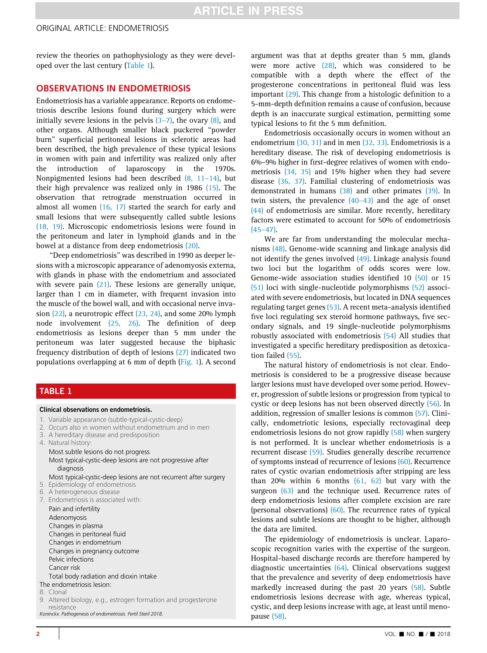#### <span id="page-1-0"></span>ORIGINAL ARTICLE: ENDOMETRIOSIS

review the theories on pathophysiology as they were developed over the last century (Table 1).

#### OBSERVATIONS IN ENDOMETRIOSIS

Endometriosis has a variable appearance. Reports on endometriosis describe lesions found during surgery which were initially severe lesions in the pelvis  $(3-7)$ , the ovary  $(8)$ , and other organs. Although smaller black puckered ''powder burn'' superficial peritoneal lesions in sclerotic areas had been described, the high prevalence of these typical lesions in women with pain and infertility was realized only after the introduction of laparoscopy in the 1970s. Nonpigmented lesions had been described [\(8, 11](#page-6-0)–14), but their high prevalence was realized only in 1986 [\(15\).](#page-6-0) The observation that retrograde menstruation occurred in almost all women [\(16, 17\)](#page-6-0) started the search for early and small lesions that were subsequently called subtle lesions [\(18, 19\).](#page-7-0) Microscopic endometriosis lesions were found in the peritoneum and later in lymphoid glands and in the bowel at a distance from deep endometriosis [\(20\)](#page-7-0).

''Deep endometriosis'' was described in 1990 as deeper lesions with a microscopic appearance of adenomyosis externa, with glands in phase with the endometrium and associated with severe pain [\(21\)](#page-7-0). These lesions are generally unique, larger than 1 cm in diameter, with frequent invasion into the muscle of the bowel wall, and with occasional nerve invasion [\(22\),](#page-7-0) a neurotropic effect [\(23, 24\),](#page-7-0) and some 20% lymph node involvement [\(25, 26\).](#page-7-0) The definition of deep endometriosis as lesions deeper than 5 mm under the peritoneum was later suggested because the biphasic frequency distribution of depth of lesions [\(27\)](#page-7-0) indicated two populations overlapping at 6 mm of depth ([Fig. 1\)](#page-2-0). A second

#### TABLE 1

#### Clinical observations on endometriosis.

- 1. Variable appearance (subtle-typical-cystic-deep)
- 2. Occurs also in women without endometrium and in men
- 3. A hereditary disease and predisposition
- 4. Natural history:
	- Most subtle lesions do not progress Most typical-cystic-deep lesions are not progressive after diagnosis
- Most typical-cystic-deep lesions are not recurrent after surgery 5. Epidemiology of endometriosis
- 6. A heterogeneous disease
- 7. Endometriosis is associated with: Pain and infertility Adenomyosis
	- Changes in plasma Changes in peritoneal fluid Changes in endometrium Changes in pregnancy outcome
	- Pelvic infections
	- Cancer risk
- Total body radiation and dioxin intake
- The endometriosis lesion:
- 8. Clonal
- 9. Altered biology, e.g., estrogen formation and progesterone resistance

Koninckx. Pathogenesis of endometriosis. Fertil Steril 2018.

argument was that at depths greater than 5 mm, glands were more active  $(28)$ , which was considered to be compatible with a depth where the effect of the progesterone concentrations in peritoneal fluid was less important [\(29\)](#page-7-0). This change from a histologic definition to a 5-mm-depth definition remains a cause of confusion, because depth is an inaccurate surgical estimation, permitting some typical lesions to fit the 5 mm definition.

Endometriosis occasionally occurs in women without an endometrium [\(30, 31\)](#page-7-0) and in men [\(32, 33\)](#page-7-0). Endometriosis is a hereditary disease. The risk of developing endometriosis is 6%–9% higher in first-degree relatives of women with endometriosis [\(34, 35\)](#page-7-0) and 15% higher when they had severe disease [\(36, 37\)](#page-7-0). Familial clustering of endometriosis was demonstrated in humans [\(38\)](#page-7-0) and other primates [\(39\)](#page-7-0). In twin sisters, the prevalence  $(40-43)$  $(40-43)$  and the age of onset [\(44\)](#page-7-0) of endometriosis are similar. More recently, hereditary factors were estimated to account for 50% of endometriosis [\(45](#page-7-0)–47).

We are far from understanding the molecular mechanisms [\(48\)](#page-7-0). Genome-wide scanning and linkage analysis did not identify the genes involved [\(49\).](#page-7-0) Linkage analysis found two loci but the logarithm of odds scores were low. Genome-wide association studies identified 10 [\(50\)](#page-7-0) or 15 [\(51\)](#page-7-0) loci with single-nucleotide polymorphisms [\(52\)](#page-7-0) associated with severe endometriosis, but located in DNA sequences regulating target genes [\(53\).](#page-7-0) A recent meta-analysis identified five loci regulating sex steroid hormone pathways, five secondary signals, and 19 single-nucleotide polymorphisms robustly associated with endometriosis [\(54\)](#page-7-0) All studies that investigated a specific hereditary predisposition as detoxication failed [\(55\)](#page-7-0).

The natural history of endometriosis is not clear. Endometriosis is considered to be a progressive disease because larger lesions must have developed over some period. However, progression of subtle lesions or progression from typical to cystic or deep lesions has not been observed directly [\(56\)](#page-7-0). In addition, regression of smaller lesions is common [\(57\)](#page-7-0). Clinically, endometriotic lesions, especially rectovaginal deep endometriosis lesions do not grow rapidly [\(58\)](#page-7-0) when surgery is not performed. It is unclear whether endometriosis is a recurrent disease [\(59\)](#page-7-0). Studies generally describe recurrence of symptoms instead of recurrence of lesions [\(60\).](#page-7-0) Recurrence rates of cystic ovarian endometriosis after stripping are less than 20% within 6 months [\(61, 62\)](#page-7-0) but vary with the surgeon [\(63\)](#page-7-0) and the technique used. Recurrence rates of deep endometriosis lesions after complete excision are rare (personal observations) [\(60\)](#page-7-0). The recurrence rates of typical lesions and subtle lesions are thought to be higher, although the data are limited.

The epidemiology of endometriosis is unclear. Laparoscopic recognition varies with the expertise of the surgeon. Hospital-based discharge records are therefore hampered by diagnostic uncertainties [\(64\).](#page-7-0) Clinical observations suggest that the prevalence and severity of deep endometriosis have markedly increased during the past 20 years [\(58\).](#page-7-0) Subtle endometriosis lesions decrease with age, whereas typical, cystic, and deep lesions increase with age, at least until menopause [\(58\).](#page-7-0)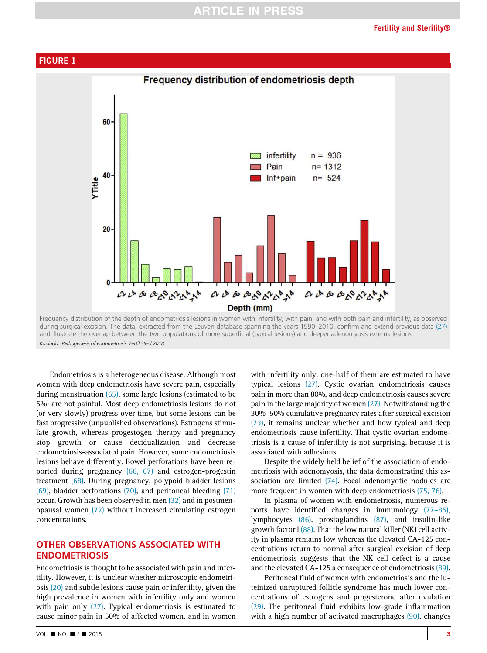<span id="page-2-0"></span>



Frequency distribution of the depth of endometriosis lesions in women with infertility, with pain, and with both pain and infertility, as observed during surgical excision. The data, extracted from the Leuven database spanning the years 1990–2010, confirm and extend previous data [\(27\)](#page-7-0) and illustrate the overlap between the two populations of more superficial (typical lesions) and deeper adenomyosis externa lesions. Koninckx. Pathogenesis of endometriosis. Fertil Steril 2018.

Endometriosis is a heterogeneous disease. Although most women with deep endometriosis have severe pain, especially during menstruation [\(65\),](#page-8-0) some large lesions (estimated to be 5%) are not painful. Most deep endometriosis lesions do not (or very slowly) progress over time, but some lesions can be fast progressive (unpublished observations). Estrogens stimulate growth, whereas progestogen therapy and pregnancy stop growth or cause decidualization and decrease endometriosis-associated pain. However, some endometriosis lesions behave differently. Bowel perforations have been reported during pregnancy [\(66, 67\)](#page-8-0) and estrogen-progestin treatment [\(68\).](#page-8-0) During pregnancy, polypoid bladder lesions [\(69\),](#page-8-0) bladder perforations [\(70\)](#page-8-0), and peritoneal bleeding [\(71\)](#page-8-0) occur. Growth has been observed in men [\(32\)](#page-7-0) and in postmenopausal women [\(72\)](#page-8-0) without increased circulating estrogen concentrations.

### OTHER OBSERVATIONS ASSOCIATED WITH ENDOMETRIOSIS

Endometriosis is thought to be associated with pain and infertility. However, it is unclear whether microscopic endometriosis [\(20\)](#page-7-0) and subtle lesions cause pain or infertility, given the high prevalence in women with infertility only and women with pain only [\(27\)](#page-7-0). Typical endometriosis is estimated to cause minor pain in 50% of affected women, and in women

with infertility only, one-half of them are estimated to have typical lesions [\(27\).](#page-7-0) Cystic ovarian endometriosis causes pain in more than 80%, and deep endometriosis causes severe pain in the large majority of women [\(27\).](#page-7-0) Notwithstanding the 30%–50% cumulative pregnancy rates after surgical excision [\(73\),](#page-8-0) it remains unclear whether and how typical and deep endometriosis cause infertility. That cystic ovarian endometriosis is a cause of infertility is not surprising, because it is associated with adhesions.

Despite the widely held belief of the association of endometriosis with adenomyosis, the data demonstrating this as-sociation are limited [\(74\)](#page-8-0). Focal adenomyotic nodules are more frequent in women with deep endometriosis [\(75, 76\).](#page-8-0)

In plasma of women with endometriosis, numerous reports have identified changes in immunology (77–[85\),](#page-8-0) lymphocytes [\(86\)](#page-8-0), prostaglandins [\(87\)](#page-8-0), and insulin-like growth factor I [\(88\).](#page-8-0) That the low natural killer (NK) cell activity in plasma remains low whereas the elevated CA-125 concentrations return to normal after surgical excision of deep endometriosis suggests that the NK cell defect is a cause and the elevated CA-125 a consequence of endometriosis [\(89\).](#page-8-0)

Peritoneal fluid of women with endometriosis and the luteinized unruptured follicle syndrome has much lower concentrations of estrogens and progesterone after ovulation [\(29\).](#page-7-0) The peritoneal fluid exhibits low-grade inflammation with a high number of activated macrophages [\(90\)](#page-8-0), changes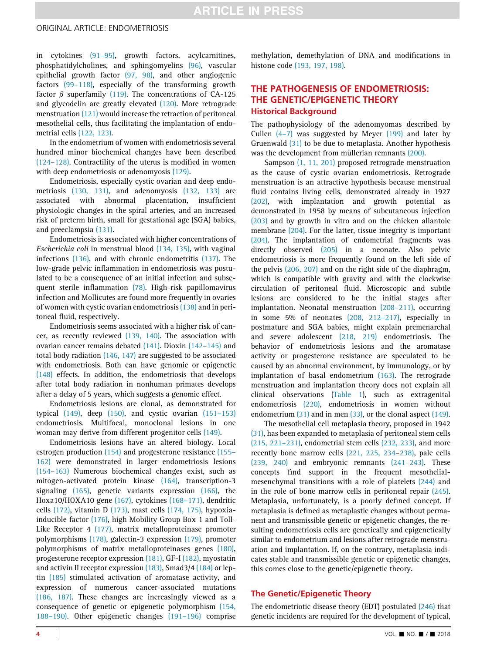#### ORIGINAL ARTICLE: ENDOMETRIOSIS

in cytokines (91–[95\),](#page-8-0) growth factors, acylcarnitines, phosphatidylcholines, and sphingomyelins [\(96\),](#page-8-0) vascular epithelial growth factor [\(97, 98\),](#page-8-0) and other angiogenic factors (99–[118\),](#page-8-0) especially of the transforming growth factor  $\beta$  superfamily [\(119\).](#page-9-0) The concentrations of CA-125 and glycodelin are greatly elevated [\(120\).](#page-9-0) More retrograde menstruation [\(121\)](#page-9-0) would increase the retraction of peritoneal mesothelial cells, thus facilitating the implantation of endometrial cells [\(122, 123\).](#page-9-0)

In the endometrium of women with endometriosis several hundred minor biochemical changes have been described (124–[128\).](#page-9-0) Contractility of the uterus is modified in women with deep endometriosis or adenomyosis [\(129\).](#page-9-0)

Endometriosis, especially cystic ovarian and deep endometriosis [\(130, 131\)](#page-9-0), and adenomyosis [\(132, 133\)](#page-9-0) are associated with abnormal placentation, insufficient physiologic changes in the spiral arteries, and an increased risk of preterm birth, small for gestational age (SGA) babies, and preeclampsia [\(131\)](#page-9-0).

Endometriosis is associated with higher concentrations of Escherichia coli in menstrual blood [\(134, 135\)](#page-9-0), with vaginal infections [\(136\)](#page-9-0), and with chronic endometritis [\(137\)](#page-9-0). The low-grade pelvic inflammation in endometriosis was postulated to be a consequence of an initial infection and subsequent sterile inflammation [\(78\).](#page-8-0) High-risk papillomavirus infection and Mollicutes are found more frequently in ovaries of women with cystic ovarian endometriosis[\(138\)](#page-9-0) and in peritoneal fluid, respectively.

Endometriosis seems associated with a higher risk of cancer, as recently reviewed [\(139, 140\).](#page-9-0) The association with ovarian cancer remains debated [\(141\).](#page-9-0) Dioxin (142–[145\)](#page-9-0) and total body radiation [\(146, 147\)](#page-9-0) are suggested to be associated with endometriosis. Both can have genomic or epigenetic [\(148\)](#page-9-0) effects. In addition, the endometriosis that develops after total body radiation in nonhuman primates develops after a delay of 5 years, which suggests a genomic effect.

Endometriosis lesions are clonal, as demonstrated for typical [\(149\)](#page-9-0), deep [\(150\),](#page-9-0) and cystic ovarian [\(151](#page-9-0)–153) endometriosis. Multifocal, monoclonal lesions in one woman may derive from different progenitor cells [\(149\)](#page-9-0).

Endometriosis lesions have an altered biology. Local estrogen production [\(154\)](#page-9-0) and progesterone resistance [\(155](#page-9-0)– [162\)](#page-9-0) were demonstrated in larger endometriosis lesions (154–[163\)](#page-9-0) Numerous biochemical changes exist, such as mitogen-activated protein kinase [\(164\)](#page-10-0), transcription-3 signaling [\(165\),](#page-10-0) genetic variants expression [\(166\)](#page-10-0), the Hoxa10/HOXA10 gene [\(167\)](#page-10-0), cytokines [\(168](#page-10-0)–171), dendritic cells [\(172\),](#page-10-0) vitamin D [\(173\),](#page-10-0) mast cells [\(174, 175\),](#page-10-0) hypoxiainducible factor [\(176\)](#page-10-0), high Mobility Group Box 1 and Toll-Like Receptor 4 [\(177\),](#page-10-0) matrix metalloproteinase promoter polymorphisms [\(178\),](#page-10-0) galectin-3 expression [\(179\),](#page-10-0) promoter polymorphisms of matrix metalloproteinases genes [\(180\),](#page-10-0) progesterone receptor expression [\(181\),](#page-10-0) GF-I [\(182\),](#page-10-0) myostatin and activin II receptor expression [\(183\),](#page-10-0) Smad3/4 [\(184\)](#page-10-0) or leptin [\(185\)](#page-10-0) stimulated activation of aromatase activity, and expression of numerous cancer-associated mutations [\(186, 187\).](#page-10-0) These changes are increasingly viewed as a consequence of genetic or epigenetic polymorphism [\(154,](#page-9-0) 188–[190\)](#page-9-0). Other epigenetic changes (191–[196\)](#page-10-0) comprise

methylation, demethylation of DNA and modifications in histone code [\(193, 197, 198\).](#page-10-0)

#### THE PATHOGENESIS OF ENDOMETRIOSIS: THE GENETIC/EPIGENETIC THEORY Historical Background

The pathophysiology of the adenomyomas described by Cullen  $(4-7)$  $(4-7)$  was suggested by Meyer  $(199)$  and later by Gruenwald [\(31\)](#page-7-0) to be due to metaplasia. Another hypothesis was the development from müllerian remnants  $(200)$ .

Sampson [\(1, 11, 201\)](#page-6-0) proposed retrograde menstruation as the cause of cystic ovarian endometriosis. Retrograde menstruation is an attractive hypothesis because menstrual fluid contains living cells, demonstrated already in 1927 [\(202\),](#page-11-0) with implantation and growth potential as demonstrated in 1958 by means of subcutaneous injection [\(203\)](#page-11-0) and by growth in vitro and on the chicken allantoic membrane [\(204\).](#page-11-0) For the latter, tissue integrity is important [\(204\).](#page-11-0) The implantation of endometrial fragments was directly observed [\(205\)](#page-11-0) in a neonate. Also pelvic endometriosis is more frequently found on the left side of the pelvis [\(206, 207\)](#page-11-0) and on the right side of the diaphragm, which is compatible with gravity and with the clockwise circulation of peritoneal fluid. Microscopic and subtle lesions are considered to be the initial stages after implantation. Neonatal menstruation [\(208](#page-11-0)–211), occurring in some 5% of neonates [\(208, 212](#page-11-0)–217), especially in postmature and SGA babies, might explain premenarchal and severe adolescent [\(218, 219\)](#page-11-0) endometriosis. The behavior of endometriosis lesions and the aromatase activity or progesterone resistance are speculated to be caused by an abnormal environment, by immunology, or by implantation of basal endometrium [\(163\).](#page-10-0) The retrograde menstruation and implantation theory does not explain all clinical observations ([Table 1](#page-1-0)), such as extragenital endometriosis [\(220\),](#page-11-0) endometriosis in women without endometrium [\(31\)](#page-7-0) and in men [\(33\)](#page-7-0), or the clonal aspect [\(149\).](#page-9-0)

The mesothelial cell metaplasia theory, proposed in 1942 [\(31\),](#page-7-0) has been expanded to metaplasia of peritoneal stem cells [\(215, 221](#page-11-0)–231), endometrial stem cells [\(232, 233\),](#page-11-0) and more recently bone marrow cells [\(221, 225, 234](#page-11-0)–238), pale cells [\(239, 240\)](#page-11-0) and embryonic remnants (241–[243\).](#page-11-0) These concepts find support in the frequent mesothelialmesenchymal transitions with a role of platelets [\(244\)](#page-11-0) and in the role of bone marrow cells in peritoneal repair [\(245\).](#page-11-0) Metaplasia, unfortunately, is a poorly defined concept. If metaplasia is defined as metaplastic changes without permanent and transmissible genetic or epigenetic changes, the resulting endometriosis cells are genetically and epigenetically similar to endometrium and lesions after retrograde menstruation and implantation. If, on the contrary, metaplasia indicates stable and transmissible genetic or epigenetic changes, this comes close to the genetic/epigenetic theory.

#### The Genetic/Epigenetic Theory

The endometriotic disease theory (EDT) postulated [\(246\)](#page-11-0) that genetic incidents are required for the development of typical,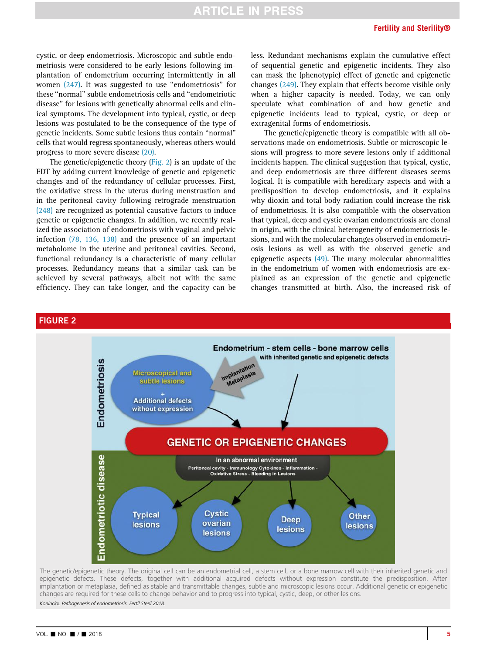<span id="page-4-0"></span>cystic, or deep endometriosis. Microscopic and subtle endometriosis were considered to be early lesions following implantation of endometrium occurring intermittently in all women [\(247\)](#page-11-0). It was suggested to use ''endometriosis'' for these ''normal'' subtle endometriosis cells and ''endometriotic disease'' for lesions with genetically abnormal cells and clinical symptoms. The development into typical, cystic, or deep lesions was postulated to be the consequence of the type of genetic incidents. Some subtle lesions thus contain ''normal'' cells that would regress spontaneously, whereas others would progress to more severe disease [\(20\)](#page-7-0).

The genetic/epigenetic theory (Fig. 2) is an update of the EDT by adding current knowledge of genetic and epigenetic changes and of the redundancy of cellular processes. First, the oxidative stress in the uterus during menstruation and in the peritoneal cavity following retrograde menstruation [\(248\)](#page-11-0) are recognized as potential causative factors to induce genetic or epigenetic changes. In addition, we recently realized the association of endometriosis with vaginal and pelvic infection [\(78, 136, 138\)](#page-8-0) and the presence of an important metabolome in the uterine and peritoneal cavities. Second, functional redundancy is a characteristic of many cellular processes. Redundancy means that a similar task can be achieved by several pathways, albeit not with the same efficiency. They can take longer, and the capacity can be less. Redundant mechanisms explain the cumulative effect of sequential genetic and epigenetic incidents. They also can mask the (phenotypic) effect of genetic and epigenetic changes [\(249\).](#page-11-0) They explain that effects become visible only when a higher capacity is needed. Today, we can only speculate what combination of and how genetic and epigenetic incidents lead to typical, cystic, or deep or extragenital forms of endometriosis.

The genetic/epigenetic theory is compatible with all observations made on endometriosis. Subtle or microscopic lesions will progress to more severe lesions only if additional incidents happen. The clinical suggestion that typical, cystic, and deep endometriosis are three different diseases seems logical. It is compatible with hereditary aspects and with a predisposition to develop endometriosis, and it explains why dioxin and total body radiation could increase the risk of endometriosis. It is also compatible with the observation that typical, deep and cystic ovarian endometriosis are clonal in origin, with the clinical heterogeneity of endometriosis lesions, and with the molecular changes observed in endometriosis lesions as well as with the observed genetic and epigenetic aspects [\(49\)](#page-7-0). The many molecular abnormalities in the endometrium of women with endometriosis are explained as an expression of the genetic and epigenetic changes transmitted at birth. Also, the increased risk of



The genetic/epigenetic theory. The original cell can be an endometrial cell, a stem cell, or a bone marrow cell with their inherited genetic and epigenetic defects. These defects, together with additional acquired defects without expression constitute the predisposition. After implantation or metaplasia, defined as stable and transmittable changes, subtle and microscopic lesions occur. Additional genetic or epigenetic changes are required for these cells to change behavior and to progress into typical, cystic, deep, or other lesions.

Koninckx. Pathogenesis of endometriosis. Fertil Steril 2018.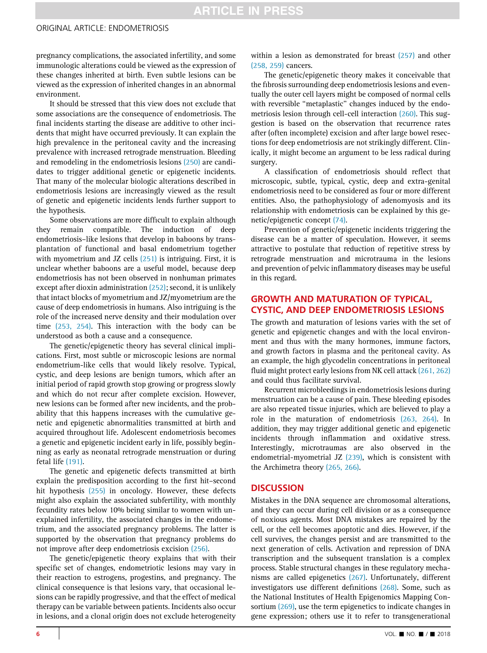#### ORIGINAL ARTICLE: ENDOMETRIOSIS

pregnancy complications, the associated infertility, and some immunologic alterations could be viewed as the expression of these changes inherited at birth. Even subtle lesions can be viewed as the expression of inherited changes in an abnormal environment.

It should be stressed that this view does not exclude that some associations are the consequence of endometriosis. The final incidents starting the disease are additive to other incidents that might have occurred previously. It can explain the high prevalence in the peritoneal cavity and the increasing prevalence with increased retrograde menstruation. Bleeding and remodeling in the endometriosis lesions [\(250\)](#page-11-0) are candidates to trigger additional genetic or epigenetic incidents. That many of the molecular biologic alterations described in endometriosis lesions are increasingly viewed as the result of genetic and epigenetic incidents lends further support to the hypothesis.

Some observations are more difficult to explain although they remain compatible. The induction of deep endometriosis–like lesions that develop in baboons by transplantation of functional and basal endometrium together with myometrium and JZ cells [\(251\)](#page-11-0) is intriguing. First, it is unclear whether baboons are a useful model, because deep endometriosis has not been observed in nonhuman primates except after dioxin administration [\(252\)](#page-12-0); second, it is unlikely that intact blocks of myometrium and JZ/myometrium are the cause of deep endometriosis in humans. Also intriguing is the role of the increased nerve density and their modulation over time [\(253, 254\).](#page-12-0) This interaction with the body can be understood as both a cause and a consequence.

The genetic/epigenetic theory has several clinical implications. First, most subtle or microscopic lesions are normal endometrium-like cells that would likely resolve. Typical, cystic, and deep lesions are benign tumors, which after an initial period of rapid growth stop growing or progress slowly and which do not recur after complete excision. However, new lesions can be formed after new incidents, and the probability that this happens increases with the cumulative genetic and epigenetic abnormalities transmitted at birth and acquired throughout life. Adolescent endometriosis becomes a genetic and epigenetic incident early in life, possibly beginning as early as neonatal retrograde menstruation or during fetal life [\(191\).](#page-10-0)

The genetic and epigenetic defects transmitted at birth explain the predisposition according to the first hit–second hit hypothesis [\(255\)](#page-12-0) in oncology. However, these defects might also explain the associated subfertility, with monthly fecundity rates below 10% being similar to women with unexplained infertility, the associated changes in the endometrium, and the associated pregnancy problems. The latter is supported by the observation that pregnancy problems do not improve after deep endometriosis excision [\(256\).](#page-12-0)

The genetic/epigenetic theory explains that with their specific set of changes, endometriotic lesions may vary in their reaction to estrogens, progestins, and pregnancy. The clinical consequence is that lesions vary, that occasional lesions can be rapidly progressive, and that the effect of medical therapy can be variable between patients. Incidents also occur in lesions, and a clonal origin does not exclude heterogeneity

within a lesion as demonstrated for breast [\(257\)](#page-12-0) and other [\(258, 259\)](#page-12-0) cancers.

The genetic/epigenetic theory makes it conceivable that the fibrosis surrounding deep endometriosis lesions and eventually the outer cell layers might be composed of normal cells with reversible "metaplastic" changes induced by the endometriosis lesion through cell-cell interaction [\(260\)](#page-12-0). This suggestion is based on the observation that recurrence rates after (often incomplete) excision and after large bowel resections for deep endometriosis are not strikingly different. Clinically, it might become an argument to be less radical during surgery.

A classification of endometriosis should reflect that microscopic, subtle, typical, cystic, deep and extra-genital endometriosis need to be considered as four or more different entities. Also, the pathophysiology of adenomyosis and its relationship with endometriosis can be explained by this genetic/epigenetic concept [\(74\).](#page-8-0)

Prevention of genetic/epigenetic incidents triggering the disease can be a matter of speculation. However, it seems attractive to postulate that reduction of repetitive stress by retrograde menstruation and microtrauma in the lesions and prevention of pelvic inflammatory diseases may be useful in this regard.

#### GROWTH AND MATURATION OF TYPICAL, CYSTIC, AND DEEP ENDOMETRIOSIS LESIONS

The growth and maturation of lesions varies with the set of genetic and epigenetic changes and with the local environment and thus with the many hormones, immune factors, and growth factors in plasma and the peritoneal cavity. As an example, the high glycodelin concentrations in peritoneal fluid might protect early lesions from NK cell attack [\(261, 262\)](#page-12-0) and could thus facilitate survival.

Recurrent microbleedings in endometriosis lesions during menstruation can be a cause of pain. These bleeding episodes are also repeated tissue injuries, which are believed to play a role in the maturation of endometriosis [\(263, 264\).](#page-12-0) In addition, they may trigger additional genetic and epigenetic incidents through inflammation and oxidative stress. Interestingly, microtraumas are also observed in the endometrial-myometrial JZ [\(239\),](#page-11-0) which is consistent with the Archimetra theory [\(265, 266\).](#page-12-0)

#### **DISCUSSION**

Mistakes in the DNA sequence are chromosomal alterations, and they can occur during cell division or as a consequence of noxious agents. Most DNA mistakes are repaired by the cell, or the cell becomes apoptotic and dies. However, if the cell survives, the changes persist and are transmitted to the next generation of cells. Activation and repression of DNA transcription and the subsequent translation is a complex process. Stable structural changes in these regulatory mechanisms are called epigenetics [\(267\).](#page-12-0) Unfortunately, different investigators use different definitions [\(268\).](#page-12-0) Some, such as the National Institutes of Health Epigenomics Mapping Consortium [\(269\),](#page-12-0) use the term epigenetics to indicate changes in gene expression; others use it to refer to transgenerational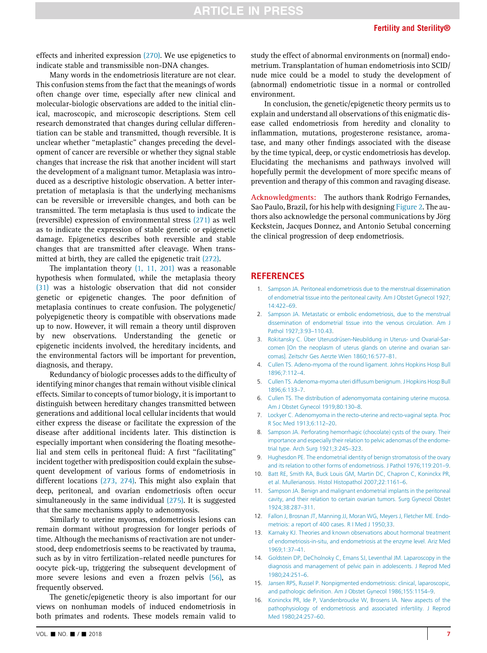<span id="page-6-0"></span>effects and inherited expression [\(270\)](#page-12-0). We use epigenetics to indicate stable and transmissible non-DNA changes.

Many words in the endometriosis literature are not clear. This confusion stems from the fact that the meanings of words often change over time, especially after new clinical and molecular-biologic observations are added to the initial clinical, macroscopic, and microscopic descriptions. Stem cell research demonstrated that changes during cellular differentiation can be stable and transmitted, though reversible. It is unclear whether ''metaplastic'' changes preceding the development of cancer are reversible or whether they signal stable changes that increase the risk that another incident will start the development of a malignant tumor. Metaplasia was introduced as a descriptive histologic observation. A better interpretation of metaplasia is that the underlying mechanisms can be reversible or irreversible changes, and both can be transmitted. The term metaplasia is thus used to indicate the (reversible) expression of environmental stress [\(271\)](#page-12-0) as well as to indicate the expression of stable genetic or epigenetic damage. Epigenetics describes both reversible and stable changes that are transmitted after cleavage. When transmitted at birth, they are called the epigenetic trait [\(272\)](#page-12-0).

The implantation theory (1, 11, 201) was a reasonable hypothesis when formulated, while the metaplasia theory [\(31\)](#page-7-0) was a histologic observation that did not consider genetic or epigenetic changes. The poor definition of metaplasia continues to create confusion. The polygenetic/ polyepigenetic theory is compatible with observations made up to now. However, it will remain a theory until disproven by new observations. Understanding the genetic or epigenetic incidents involved, the hereditary incidents, and the environmental factors will be important for prevention, diagnosis, and therapy.

Redundancy of biologic processes adds to the difficulty of identifying minor changes that remain without visible clinical effects. Similar to concepts of tumor biology, it is important to distinguish between hereditary changes transmitted between generations and additional local cellular incidents that would either express the disease or facilitate the expression of the disease after additional incidents later. This distinction is especially important when considering the floating mesothelial and stem cells in peritoneal fluid: A first ''facilitating'' incident together with predisposition could explain the subsequent development of various forms of endometriosis in different locations [\(273, 274\)](#page-12-0). This might also explain that deep, peritoneal, and ovarian endometriosis often occur simultaneously in the same individual [\(275\)](#page-12-0). It is suggested that the same mechanisms apply to adenomyosis.

Similarly to uterine myomas, endometriosis lesions can remain dormant without progression for longer periods of time. Although the mechanisms of reactivation are not understood, deep endometriosis seems to be reactivated by trauma, such as by in vitro fertilization–related needle punctures for oocyte pick-up, triggering the subsequent development of more severe lesions and even a frozen pelvis [\(56\)](#page-7-0), as frequently observed.

The genetic/epigenetic theory is also important for our views on nonhuman models of induced endometriosis in both primates and rodents. These models remain valid to

study the effect of abnormal environments on (normal) endometrium. Transplantation of human endometriosis into SCID/ nude mice could be a model to study the development of (abnormal) endometriotic tissue in a normal or controlled environment.

In conclusion, the genetic/epigenetic theory permits us to explain and understand all observations of this enigmatic disease called endometriosis from heredity and clonality to inflammation, mutations, progesterone resistance, aromatase, and many other findings associated with the disease by the time typical, deep, or cystic endometriosis has develop. Elucidating the mechanisms and pathways involved will hopefully permit the development of more specific means of prevention and therapy of this common and ravaging disease.

Acknowledgments: The authors thank Rodrigo Fernandes, Sao Paulo, Brazil, for his help with designing [Figure 2.](#page-4-0) The authors also acknowledge the personal communications by Jörg Keckstein, Jacques Donnez, and Antonio Setubal concerning the clinical progression of deep endometriosis.

#### **REFERENCES**

- 1. [Sampson JA. Peritoneal endometriosis due to the menstrual dissemination](http://refhub.elsevier.com/S0015-0282(18)32135-6/sref1) [of endometrial tissue into the peritoneal cavity. Am J Obstet Gynecol 1927;](http://refhub.elsevier.com/S0015-0282(18)32135-6/sref1) [14:422](http://refhub.elsevier.com/S0015-0282(18)32135-6/sref1)–69.
- 2. [Sampson JA. Metastatic or embolic endometriosis, due to the menstrual](http://refhub.elsevier.com/S0015-0282(18)32135-6/sref2) [dissemination of endometrial tissue into the venous circulation. Am J](http://refhub.elsevier.com/S0015-0282(18)32135-6/sref2) [Pathol 1927;3:93](http://refhub.elsevier.com/S0015-0282(18)32135-6/sref2)–110.43.
- 3. [Rokitansky C.](http://refhub.elsevier.com/S0015-0282(18)32135-6/sref3) Über Uterusdrüsen-Neubildung in Uterus- und Ovarial-Sar[comen \[On the neoplasm of uterus glands on uterine and ovarian sar](http://refhub.elsevier.com/S0015-0282(18)32135-6/sref3)[comas\]. Zeitschr Ges Aerzte Wien 1860;16:577](http://refhub.elsevier.com/S0015-0282(18)32135-6/sref3)–81.
- 4. [Cullen TS. Adeno-myoma of the round ligament. Johns Hopkins Hosp Bull](http://refhub.elsevier.com/S0015-0282(18)32135-6/sref4) [1896;7:112](http://refhub.elsevier.com/S0015-0282(18)32135-6/sref4)–4.
- 5. [Cullen TS. Adenoma-myoma uteri diffusum benignum. J Hopkins Hosp Bull](http://refhub.elsevier.com/S0015-0282(18)32135-6/sref5) [1896;6:133](http://refhub.elsevier.com/S0015-0282(18)32135-6/sref5)–7.
- 6. [Cullen TS. The distribution of adenomyomata containing uterine mucosa.](http://refhub.elsevier.com/S0015-0282(18)32135-6/sref6) [Am J Obstet Gynecol 1919;80:130](http://refhub.elsevier.com/S0015-0282(18)32135-6/sref6)–8.
- 7. [Lockyer C. Adenomyoma in the recto-uterine and recto-vaginal septa. Proc](http://refhub.elsevier.com/S0015-0282(18)32135-6/sref7) [R Soc Med 1913;6:112](http://refhub.elsevier.com/S0015-0282(18)32135-6/sref7)–20.
- 8. [Sampson JA. Perforating hemorrhagic \(chocolate\) cysts of the ovary. Their](http://refhub.elsevier.com/S0015-0282(18)32135-6/sref8) [importance and especially their relation to pelvic adenomas of the endome](http://refhub.elsevier.com/S0015-0282(18)32135-6/sref8)[trial type. Arch Surg 1921;3:245](http://refhub.elsevier.com/S0015-0282(18)32135-6/sref8)–323.
- 9. [Hughesdon PE. The endometrial identity of benign stromatosis of the ovary](http://refhub.elsevier.com/S0015-0282(18)32135-6/sref9) [and its relation to other forms of endometriosis. J Pathol 1976;119:201](http://refhub.elsevier.com/S0015-0282(18)32135-6/sref9)–9.
- 10. [Batt RE, Smith RA, Buck Louis GM, Martin DC, Chapron C, Koninckx PR,](http://refhub.elsevier.com/S0015-0282(18)32135-6/sref10) [et al. Mullerianosis. Histol Histopathol 2007;22:1161](http://refhub.elsevier.com/S0015-0282(18)32135-6/sref10)–6.
- 11. [Sampson JA. Benign and malignant endometrial implants in the peritoneal](http://refhub.elsevier.com/S0015-0282(18)32135-6/sref11) [cavity, and their relation to certain ovarian tumors. Surg Gynecol Obstet](http://refhub.elsevier.com/S0015-0282(18)32135-6/sref11) [1924;38:287](http://refhub.elsevier.com/S0015-0282(18)32135-6/sref11)–311.
- 12. [Fallon J, Brosnan JT, Manning JJ, Moran WG, Meyers J, Fletcher ME. Endo](http://refhub.elsevier.com/S0015-0282(18)32135-6/sref12)[metriois: a report of 400 cases. R I Med J 1950;33.](http://refhub.elsevier.com/S0015-0282(18)32135-6/sref12)
- 13. [Karnaky KJ. Theories and known observations about hormonal treatment](http://refhub.elsevier.com/S0015-0282(18)32135-6/sref13) [of endometriosis-in-situ, and endometriosis at the enzyme level. Ariz Med](http://refhub.elsevier.com/S0015-0282(18)32135-6/sref13) [1969;1:37](http://refhub.elsevier.com/S0015-0282(18)32135-6/sref13)–41.
- 14. [Goldstein DP, DeCholnoky C, Emans SJ, Leventhal JM. Laparoscopy in the](http://refhub.elsevier.com/S0015-0282(18)32135-6/sref14) [diagnosis and management of pelvic pain in adolescents. J Reprod Med](http://refhub.elsevier.com/S0015-0282(18)32135-6/sref14) [1980;24:251](http://refhub.elsevier.com/S0015-0282(18)32135-6/sref14)–6.
- 15. [Jansen RPS, Russel P. Nonpigmented endometriosis: clinical, laparoscopic,](http://refhub.elsevier.com/S0015-0282(18)32135-6/sref15) and pathologic defi[nition. Am J Obstet Gynecol 1986;155:1154](http://refhub.elsevier.com/S0015-0282(18)32135-6/sref15)–9.
- 16. [Koninckx PR, Ide P, Vandenbroucke W, Brosens IA. New aspects of the](http://refhub.elsevier.com/S0015-0282(18)32135-6/sref16) [pathophysiology of endometriosis and associated infertility. J Reprod](http://refhub.elsevier.com/S0015-0282(18)32135-6/sref16) [Med 1980;24:257](http://refhub.elsevier.com/S0015-0282(18)32135-6/sref16)–60.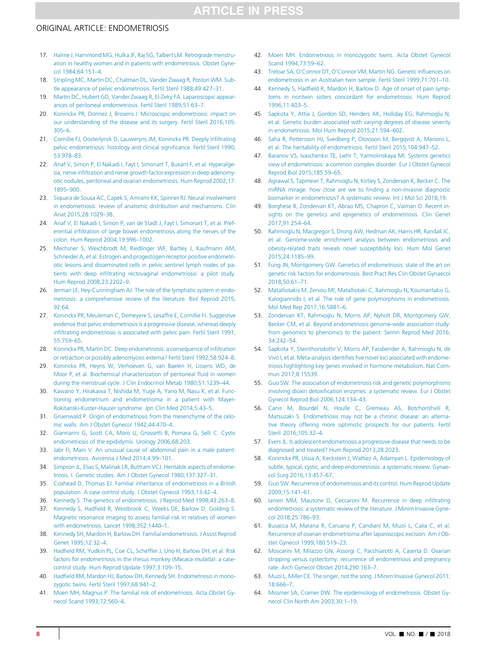#### <span id="page-7-0"></span>ORIGINAL ARTICLE: ENDOMETRIOSIS

- 17. [Halme J, Hammond MG, Hulka JF, Raj SG, Talbert LM. Retrograde menstru](http://refhub.elsevier.com/S0015-0282(18)32135-6/sref17)[ation in healthy women and in patients with endometriosis. Obstet Gyne](http://refhub.elsevier.com/S0015-0282(18)32135-6/sref17)[col 1984;64:151](http://refhub.elsevier.com/S0015-0282(18)32135-6/sref17)–4.
- 18. [Stripling MC, Martin DC, Chatman DL, Vander Zwaag R, Poston WM. Sub](http://refhub.elsevier.com/S0015-0282(18)32135-6/sref18)[tle appearance of pelvic endometriosis. Fertil Steril 1988;49:427](http://refhub.elsevier.com/S0015-0282(18)32135-6/sref18)–31.
- 19. [Martin DC, Hubert GD, Vander Zwaag R, El-Zeky FA. Laparoscopic appear](http://refhub.elsevier.com/S0015-0282(18)32135-6/sref19)[ances of peritoneal endometriosis. Fertil Steril 1989;51:63](http://refhub.elsevier.com/S0015-0282(18)32135-6/sref19)–7.
- 20. [Koninckx PR, Donnez J, Brosens I. Microscopic endometriosis: impact on](http://refhub.elsevier.com/S0015-0282(18)32135-6/sref20) [our understanding of the disease and its surgery. Fertil Steril 2016;105:](http://refhub.elsevier.com/S0015-0282(18)32135-6/sref20) [305](http://refhub.elsevier.com/S0015-0282(18)32135-6/sref20)–6.
- 21. [Cornillie FJ, Oosterlynck D, Lauweryns JM, Koninckx PR. Deeply in](http://refhub.elsevier.com/S0015-0282(18)32135-6/sref21)filtrating [pelvic endometriosis: histology and clinical signi](http://refhub.elsevier.com/S0015-0282(18)32135-6/sref21)ficance. Fertil Steril 1990; [53:978](http://refhub.elsevier.com/S0015-0282(18)32135-6/sref21)–83.
- 22. [Anaf V, Simon P, El Nakadi I, Fayt I, Simonart T, Buxant F, et al. Hyperalge](http://refhub.elsevier.com/S0015-0282(18)32135-6/sref22)sia, nerve infi[ltration and nerve growth factor expression in deep adenomy](http://refhub.elsevier.com/S0015-0282(18)32135-6/sref22)[otic nodules, peritoneal and ovarian endometriosis. Hum Reprod 2002;17:](http://refhub.elsevier.com/S0015-0282(18)32135-6/sref22) [1895](http://refhub.elsevier.com/S0015-0282(18)32135-6/sref22)–900.
- 23. [Siquara de Sousa AC, Capek S, Amrami KK, Spinner RJ. Neural involvement](http://refhub.elsevier.com/S0015-0282(18)32135-6/sref23) [in endometriosis: review of anatomic distribution and mechanisms. Clin](http://refhub.elsevier.com/S0015-0282(18)32135-6/sref23) [Anat 2015;28:1029](http://refhub.elsevier.com/S0015-0282(18)32135-6/sref23)–38.
- 24. [Anaf V, El Nakadi I, Simon P, van de Stadt J, Fayt I, Simonart T, et al. Pref](http://refhub.elsevier.com/S0015-0282(18)32135-6/sref24)erential infi[ltration of large bowel endometriosis along the nerves of the](http://refhub.elsevier.com/S0015-0282(18)32135-6/sref24) [colon. Hum Reprod 2004;19:996](http://refhub.elsevier.com/S0015-0282(18)32135-6/sref24)–1002.
- 25. [Mechsner S, Weichbrodt M, Riedlinger WF, Bartley J, Kaufmann AM,](http://refhub.elsevier.com/S0015-0282(18)32135-6/sref25) [Schneider A, et al. Estrogen and progestogen receptor positive endometri](http://refhub.elsevier.com/S0015-0282(18)32135-6/sref25)[otic lesions and disseminated cells in pelvic sentinel lymph nodes of pa](http://refhub.elsevier.com/S0015-0282(18)32135-6/sref25)tients with deep infi[ltrating rectovaginal endometriosis: a pilot study.](http://refhub.elsevier.com/S0015-0282(18)32135-6/sref25) [Hum Reprod 2008;23:2202](http://refhub.elsevier.com/S0015-0282(18)32135-6/sref25)–9.
- 26. [Jerman LF, Hey-Cunningham AJ. The role of the lymphatic system in endo](http://refhub.elsevier.com/S0015-0282(18)32135-6/sref26)[metriosis: a comprehensive review of the literature. Biol Reprod 2015;](http://refhub.elsevier.com/S0015-0282(18)32135-6/sref26) [92:64.](http://refhub.elsevier.com/S0015-0282(18)32135-6/sref26)
- 27. [Koninckx PR, Meuleman C, Demeyere S, Lesaffre E, Cornillie FJ. Suggestive](http://refhub.elsevier.com/S0015-0282(18)32135-6/sref27) [evidence that pelvic endometriosis is a progressive disease, whereas deeply](http://refhub.elsevier.com/S0015-0282(18)32135-6/sref27) infi[ltrating endometriosis is associated with pelvic pain. Fertil Steril 1991;](http://refhub.elsevier.com/S0015-0282(18)32135-6/sref27) [55:759](http://refhub.elsevier.com/S0015-0282(18)32135-6/sref27)–65.
- 28. [Koninckx PR, Martin DC. Deep endometriosis: a consequence of in](http://refhub.elsevier.com/S0015-0282(18)32135-6/sref28)filtration [or retraction or possibly adenomyosis externa? Fertil Steril 1992;58:924](http://refhub.elsevier.com/S0015-0282(18)32135-6/sref28)–8.
- 29. [Koninckx PR, Heyns W, Verhoeven G, van Baelen H, Lissens WD, de](http://refhub.elsevier.com/S0015-0282(18)32135-6/sref29) [Moor P, et al. Biochemical characterization of peritoneal](http://refhub.elsevier.com/S0015-0282(18)32135-6/sref29) fluid in women [during the menstrual cycle. J Clin Endocrinol Metab 1980;51:1239](http://refhub.elsevier.com/S0015-0282(18)32135-6/sref29)–44.
- 30. [Kawano Y, Hirakawa T, Nishida M, Yuge A, Yano M, Nasu K, et al. Func](http://refhub.elsevier.com/S0015-0282(18)32135-6/sref30)[tioning endometrium and endometrioma in a patient with Mayer-](http://refhub.elsevier.com/S0015-0282(18)32135-6/sref30)[Rokitanski-Kuster-Hauser syndrome. Jpn Clin Med 2014;5:43](http://refhub.elsevier.com/S0015-0282(18)32135-6/sref30)–5.
- 31. [Gruenwald P. Origin of endometriosis from the mesenchyme of the celo](http://refhub.elsevier.com/S0015-0282(18)32135-6/sref31)[mic walls. Am J Obstet Gynecol 1942;44:470](http://refhub.elsevier.com/S0015-0282(18)32135-6/sref31)–4.
- 32. [Giannarini G, Scott CA, Moro U, Grossetti B, Pomara G, Selli C. Cystic](http://refhub.elsevier.com/S0015-0282(18)32135-6/sref32) [endometriosis of the epididymis. Urology 2006;68:203.](http://refhub.elsevier.com/S0015-0282(18)32135-6/sref32)
- 33. [Jabr FI, Mani V. An unusual cause of abdominal pain in a male patient:](http://refhub.elsevier.com/S0015-0282(18)32135-6/sref33) [endometriosis. Avicenna J Med 2014;4:99](http://refhub.elsevier.com/S0015-0282(18)32135-6/sref33)–101.
- 34. [Simpson JL, Elias S, Malinak LR, Buttram VCJ. Heritable aspects of endome](http://refhub.elsevier.com/S0015-0282(18)32135-6/sref34)[triosis. I. Genetic studies. Am J Obstet Gynecol 1980;137:327](http://refhub.elsevier.com/S0015-0282(18)32135-6/sref34)–31.
- 35. [Coxhead D, Thomas EJ. Familial inheritance of endometriosis in a British](http://refhub.elsevier.com/S0015-0282(18)32135-6/sref35) [population. A case control study. J Obstet Gynecol 1993;13:42](http://refhub.elsevier.com/S0015-0282(18)32135-6/sref35)–4.
- 36. [Kennedy S. The genetics of endometriosis. J Reprod Med 1998;43:263](http://refhub.elsevier.com/S0015-0282(18)32135-6/sref36)–8.
- 37. Kennedy S, Hadfi[eld R, Westbrook C, Weeks DE, Barlow D, Golding S.](http://refhub.elsevier.com/S0015-0282(18)32135-6/sref37) [Magnetic resonance imaging to assess familial risk in relatives of women](http://refhub.elsevier.com/S0015-0282(18)32135-6/sref37) [with endometriosis. Lancet 1998;352:1440](http://refhub.elsevier.com/S0015-0282(18)32135-6/sref37)–1.
- 38. [Kennedy SH, Mardon H, Barlow DH. Familial endometriosis. J Assist Reprod](http://refhub.elsevier.com/S0015-0282(18)32135-6/sref38) [Genet 1995;12:32](http://refhub.elsevier.com/S0015-0282(18)32135-6/sref38)–4.
- 39. Hadfield RM, Yudkin PL, Coe CL, Scheffl[er J, Uno H, Barlow DH, et al. Risk](http://refhub.elsevier.com/S0015-0282(18)32135-6/sref39) [factors for endometriosis in the rhesus monkey \(](http://refhub.elsevier.com/S0015-0282(18)32135-6/sref39)Macaca mulatta): a case[control study. Hum Reprod Update 1997;3:109](http://refhub.elsevier.com/S0015-0282(18)32135-6/sref39)–15.
- 40. Hadfi[eld RM, Mardon HJ, Barlow DH, Kennedy SH. Endometriosis in mono](http://refhub.elsevier.com/S0015-0282(18)32135-6/sref40)[zygotic twins. Fertil Steril 1997;68:941](http://refhub.elsevier.com/S0015-0282(18)32135-6/sref40)–2.
- 41. [Moen MH, Magnus P. The familial risk of endometriosis. Acta Obstet Gy](http://refhub.elsevier.com/S0015-0282(18)32135-6/sref41)[necol Scand 1993;72:560](http://refhub.elsevier.com/S0015-0282(18)32135-6/sref41)–4.
- 42. [Moen MH. Endometriosis in monozygotic twins. Acta Obstet Gynecol](http://refhub.elsevier.com/S0015-0282(18)32135-6/sref42) [Scand 1994;73:59](http://refhub.elsevier.com/S0015-0282(18)32135-6/sref42)–62.
- 43. [Treloar SA, O'Connor DT, O'Connor VM, Martin NG. Genetic in](http://refhub.elsevier.com/S0015-0282(18)32135-6/sref43)fluences on [endometriosis in an Australian twin sample. Fertil Steril 1999;71:701](http://refhub.elsevier.com/S0015-0282(18)32135-6/sref43)–10.
- 44. Kennedy S, Hadfi[eld R, Mardon H, Barlow D. Age of onset of pain symp](http://refhub.elsevier.com/S0015-0282(18)32135-6/sref44)[toms in nontwin sisters concordant for endometriosis. Hum Reprod](http://refhub.elsevier.com/S0015-0282(18)32135-6/sref44) [1996;11:403](http://refhub.elsevier.com/S0015-0282(18)32135-6/sref44)–5.
- 45. [Sapkota Y, Attia J, Gordon SD, Henders AK, Holliday EG, Rahmioglu N,](http://refhub.elsevier.com/S0015-0282(18)32135-6/sref45) [et al. Genetic burden associated with varying degrees of disease severity](http://refhub.elsevier.com/S0015-0282(18)32135-6/sref45) [in endometriosis. Mol Hum Reprod 2015;21:594](http://refhub.elsevier.com/S0015-0282(18)32135-6/sref45)–602.
- 46. [Saha R, Pettersson HJ, Svedberg P, Olovsson M, Bergqvist A, Marions L,](http://refhub.elsevier.com/S0015-0282(18)32135-6/sref46) [et al. The heritability of endometriosis. Fertil Steril 2015;104:947](http://refhub.elsevier.com/S0015-0282(18)32135-6/sref46)–52.
- 47. [Baranov VS, Ivaschenko TE, Liehr T, Yarmolinskaya MI. Systems genetics](http://refhub.elsevier.com/S0015-0282(18)32135-6/sref47) [view of endometriosis: a common complex disorder. Eur J Obstet Gynecol](http://refhub.elsevier.com/S0015-0282(18)32135-6/sref47) [Reprod Biol 2015;185:59](http://refhub.elsevier.com/S0015-0282(18)32135-6/sref47)–65.
- 48. [Agrawal S, Tapmeier T, Rahmioglu N, Kirtley S, Zondervan K, Becker C. The](http://refhub.elsevier.com/S0015-0282(18)32135-6/sref48) [miRNA mirage: how close are we to](http://refhub.elsevier.com/S0015-0282(18)32135-6/sref48) finding a non-invasive diagnostic [biomarker in endometriosis? A systematic review. Int J Mol Sci 2018;19.](http://refhub.elsevier.com/S0015-0282(18)32135-6/sref48)
- 49. [Borghese B, Zondervan KT, Abrao MS, Chapron C, Vaiman D. Recent in](http://refhub.elsevier.com/S0015-0282(18)32135-6/sref49)[sights on the genetics and epigenetics of endometriosis. Clin Genet](http://refhub.elsevier.com/S0015-0282(18)32135-6/sref49) [2017;91:254](http://refhub.elsevier.com/S0015-0282(18)32135-6/sref49)–64.
- 50. [Rahmioglu N, Macgregor S, Drong AW, Hedman AK, Harris HR, Randall JC,](http://refhub.elsevier.com/S0015-0282(18)32135-6/sref50) [et al. Genome-wide enrichment analysis between endometriosis and](http://refhub.elsevier.com/S0015-0282(18)32135-6/sref50) [obesity-related traits reveals novel susceptibility loci. Hum Mol Genet](http://refhub.elsevier.com/S0015-0282(18)32135-6/sref50) [2015;24:1185](http://refhub.elsevier.com/S0015-0282(18)32135-6/sref50)–99.
- 51. [Fung JN, Montgomery GW. Genetics of endometriosis: state of the art on](http://refhub.elsevier.com/S0015-0282(18)32135-6/sref51) [genetic risk factors for endometriosis. Best Pract Res Clin Obstet Gynaecol](http://refhub.elsevier.com/S0015-0282(18)32135-6/sref51) [2018;50:61](http://refhub.elsevier.com/S0015-0282(18)32135-6/sref51)–71.
- 52. [Matalliotakis M, Zervou MI, Matalliotaki C, Rahmioglu N, Koumantakis G,](http://refhub.elsevier.com/S0015-0282(18)32135-6/sref52) [Kalogiannidis I, et al. The role of gene polymorphisms in endometriosis.](http://refhub.elsevier.com/S0015-0282(18)32135-6/sref52) [Mol Med Rep 2017;16:5881](http://refhub.elsevier.com/S0015-0282(18)32135-6/sref52)–6.
- 53. [Zondervan KT, Rahmioglu N, Morris AP, Nyholt DR, Montgomery GW,](http://refhub.elsevier.com/S0015-0282(18)32135-6/sref53) [Becker CM, et al. Beyond endometriosis genome-wide association study:](http://refhub.elsevier.com/S0015-0282(18)32135-6/sref53) [from genomics to phenomics to the patient. Semin Reprod Med 2016;](http://refhub.elsevier.com/S0015-0282(18)32135-6/sref53) [34:242](http://refhub.elsevier.com/S0015-0282(18)32135-6/sref53)–54.
- 54. [Sapkota Y, Steinthorsdottir V, Morris AP, Fassbender A, Rahmioglu N, de](http://refhub.elsevier.com/S0015-0282(18)32135-6/sref54) Vivo I, et al. Meta-analysis identifies fi[ve novel loci associated with endome](http://refhub.elsevier.com/S0015-0282(18)32135-6/sref54)[triosis highlighting key genes involved in hormone metabolism. Nat Com](http://refhub.elsevier.com/S0015-0282(18)32135-6/sref54)[mun 2017;8:15539](http://refhub.elsevier.com/S0015-0282(18)32135-6/sref54).
- 55. [Guo SW. The association of endometriosis risk and genetic polymorphisms](http://refhub.elsevier.com/S0015-0282(18)32135-6/sref55) involving dioxin detoxifi[cation enzymes: a systematic review. Eur J Obstet](http://refhub.elsevier.com/S0015-0282(18)32135-6/sref55) [Gynecol Reprod Biol 2006;124:134](http://refhub.elsevier.com/S0015-0282(18)32135-6/sref55)–43.
- 56. [Canis M, Bourdel N, Houlle C, Gremeau AS, Botchorishvili R,](http://refhub.elsevier.com/S0015-0282(18)32135-6/sref56) [Matsuzaki S. Endometriosis may not be a chronic disease: an alterna](http://refhub.elsevier.com/S0015-0282(18)32135-6/sref56)[tive theory offering more optimistic prospects for our patients. Fertil](http://refhub.elsevier.com/S0015-0282(18)32135-6/sref56) [Steril 2016;105:32](http://refhub.elsevier.com/S0015-0282(18)32135-6/sref56)–4.
- 57. [Evers JL. Is adolescent endometriosis a progressive disease that needs to be](http://refhub.elsevier.com/S0015-0282(18)32135-6/sref57) [diagnosed and treated? Hum Reprod 2013;28:2023](http://refhub.elsevier.com/S0015-0282(18)32135-6/sref57).
- 58. [Koninckx PR, Ussia A, Keckstein J, Wattiez A, Adamyan L. Epidemiology of](http://refhub.elsevier.com/S0015-0282(18)32135-6/sref58) [subtle, typical, cystic, and deep endometriosis: a systematic review. Gynae](http://refhub.elsevier.com/S0015-0282(18)32135-6/sref58)[col Surg 2016;13:457](http://refhub.elsevier.com/S0015-0282(18)32135-6/sref58)–67.
- 59. [Guo SW. Recurrence of endometriosis and its control. Hum Reprod Update](http://refhub.elsevier.com/S0015-0282(18)32135-6/sref59) [2009;15:141](http://refhub.elsevier.com/S0015-0282(18)32135-6/sref59)–61.
- 60. [Ianieri MM, Mautone D, Ceccaroni M. Recurrence in deep in](http://refhub.elsevier.com/S0015-0282(18)32135-6/sref60)filtrating [endometriosis: a systematic review of the literature. J Minim Invasive Gyne](http://refhub.elsevier.com/S0015-0282(18)32135-6/sref60)[col 2018;25:786](http://refhub.elsevier.com/S0015-0282(18)32135-6/sref60)–93.
- 61. [Busacca M, Marana R, Caruana P, Candiani M, Muzii L, Calia C, et al.](http://refhub.elsevier.com/S0015-0282(18)32135-6/sref61) [Recurrence of ovarian endometrioma after laparoscopic excision. Am J Ob](http://refhub.elsevier.com/S0015-0282(18)32135-6/sref61)[stet Gynecol 1999;180:519](http://refhub.elsevier.com/S0015-0282(18)32135-6/sref61)–23.
- 62. [Moscarini M, Milazzo GN, Assorgi C, Pacchiarotti A, Caserta D. Ovarian](http://refhub.elsevier.com/S0015-0282(18)32135-6/sref62) [stripping versus cystectomy: recurrence of endometriosis and pregnancy](http://refhub.elsevier.com/S0015-0282(18)32135-6/sref62) [rate. Arch Gynecol Obstet 2014;290:163](http://refhub.elsevier.com/S0015-0282(18)32135-6/sref62)–7.
- 63. [Muzii L, Miller CE. The singer, not the song. J Minim Invasive Gynecol 2011;](http://refhub.elsevier.com/S0015-0282(18)32135-6/sref63) [18:666](http://refhub.elsevier.com/S0015-0282(18)32135-6/sref63)–7.
- 64. [Missmer SA, Cramer DW. The epidemiology of endometriosis. Obstet Gy](http://refhub.elsevier.com/S0015-0282(18)32135-6/sref64)[necol Clin North Am 2003;30:1](http://refhub.elsevier.com/S0015-0282(18)32135-6/sref64)–19.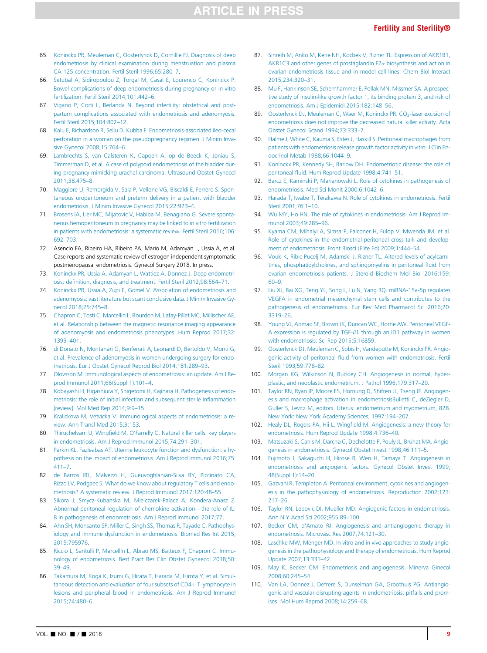#### Fertility and Sterility®

- <span id="page-8-0"></span>65. [Koninckx PR, Meuleman C, Oosterlynck D, Cornillie FJ. Diagnosis of deep](http://refhub.elsevier.com/S0015-0282(18)32135-6/sref65) [endometriosis by clinical examination during menstruation and plasma](http://refhub.elsevier.com/S0015-0282(18)32135-6/sref65) [CA-125 concentration. Fertil Steril 1996;65:280](http://refhub.elsevier.com/S0015-0282(18)32135-6/sref65)–7.
- 66. [Setubal A, Sidiropoulou Z, Torgal M, Casal E, Lourenco C, Koninckx P.](http://refhub.elsevier.com/S0015-0282(18)32135-6/sref66) [Bowel complications of deep endometriosis during pregnancy or in vitro](http://refhub.elsevier.com/S0015-0282(18)32135-6/sref66) [fertilization. Fertil Steril 2014;101:442](http://refhub.elsevier.com/S0015-0282(18)32135-6/sref66)–6.
- 67. [Vigano P, Corti L, Berlanda N. Beyond infertility: obstetrical and post](http://refhub.elsevier.com/S0015-0282(18)32135-6/sref67)[partum complications associated with endometriosis and adenomyosis.](http://refhub.elsevier.com/S0015-0282(18)32135-6/sref67) [Fertil Steril 2015;104:802](http://refhub.elsevier.com/S0015-0282(18)32135-6/sref67)–12.
- 68. [Kalu E, Richardson R, Sellu D, Kubba F. Endometriosis-associated ileo-cecal](http://refhub.elsevier.com/S0015-0282(18)32135-6/sref68) [perforation in a woman on the pseudopregnancy regimen. J Minim Inva](http://refhub.elsevier.com/S0015-0282(18)32135-6/sref68)[sive Gynecol 2008;15:764](http://refhub.elsevier.com/S0015-0282(18)32135-6/sref68)–6.
- 69. [Lambrechts S, van Calsteren K, Capoen A, op de Beeck K, Joniau S,](http://refhub.elsevier.com/S0015-0282(18)32135-6/sref69) [Timmerman D, et al. A case of polypoid endometriosis of the bladder dur](http://refhub.elsevier.com/S0015-0282(18)32135-6/sref69)[ing pregnancy mimicking urachal carcinoma. Ultrasound Obstet Gynecol](http://refhub.elsevier.com/S0015-0282(18)32135-6/sref69) [2011;38:475](http://refhub.elsevier.com/S0015-0282(18)32135-6/sref69)–8.
- 70. [Maggiore U, Remorgida V, Sala P, Vellone VG, Biscaldi E, Ferrero S. Spon](http://refhub.elsevier.com/S0015-0282(18)32135-6/sref70)[taneous uroperitoneum and preterm delivery in a patient with bladder](http://refhub.elsevier.com/S0015-0282(18)32135-6/sref70) [endometriosis. J Minim Invasive Gynecol 2015;22:923](http://refhub.elsevier.com/S0015-0282(18)32135-6/sref70)–4.
- 71. [Brosens IA, Lier MC, Mijatovic V, Habiba M, Benagiano G. Severe sponta](http://refhub.elsevier.com/S0015-0282(18)32135-6/sref71)[neous hemoperitoneum in pregnancy may be linked to in vitro fertilization](http://refhub.elsevier.com/S0015-0282(18)32135-6/sref71) [in patients with endometriosis: a systematic review. Fertil Steril 2016;106:](http://refhub.elsevier.com/S0015-0282(18)32135-6/sref71) [692](http://refhub.elsevier.com/S0015-0282(18)32135-6/sref71)–703.
- 72. Asencio FA, Ribeiro HA, Ribeiro PA, Mario M, Adamyan L, Ussia A, et al. Case reports and systematic review of estrogen independent symptomatic postmenopausal endometriosis. Gynecol Surgery 2018. In press.
- 73. [Koninckx PR, Ussia A, Adamyan L, Wattiez A, Donnez J. Deep endometri](http://refhub.elsevier.com/S0015-0282(18)32135-6/sref73)osis: defi[nition, diagnosis, and treatment. Fertil Steril 2012;98:564](http://refhub.elsevier.com/S0015-0282(18)32135-6/sref73)–71.
- 74. [Koninckx PR, Ussia A, Zupi E, Gomel V. Association of endometriosis and](http://refhub.elsevier.com/S0015-0282(18)32135-6/sref74) [adenomyosis: vast literature but scant conclusive data. J Minim Invasive Gy](http://refhub.elsevier.com/S0015-0282(18)32135-6/sref74)[necol 2018;25:745](http://refhub.elsevier.com/S0015-0282(18)32135-6/sref74)–8.
- 75. [Chapron C, Tosti C, Marcellin L, Bourdon M, Lafay-Pillet MC, Millischer AE,](http://refhub.elsevier.com/S0015-0282(18)32135-6/sref75) [et al. Relationship between the magnetic resonance imaging appearance](http://refhub.elsevier.com/S0015-0282(18)32135-6/sref75) [of adenomyosis and endometriosis phenotypes. Hum Reprod 2017;32:](http://refhub.elsevier.com/S0015-0282(18)32135-6/sref75) [1393](http://refhub.elsevier.com/S0015-0282(18)32135-6/sref75)–401.
- 76. [di Donato N, Montanari G, Benfenati A, Leonardi D, Bertoldo V, Monti G,](http://refhub.elsevier.com/S0015-0282(18)32135-6/sref76) [et al. Prevalence of adenomyosis in women undergoing surgery for endo](http://refhub.elsevier.com/S0015-0282(18)32135-6/sref76)[metriosis. Eur J Obstet Gynecol Reprod Biol 2014;181:289](http://refhub.elsevier.com/S0015-0282(18)32135-6/sref76)–93.
- 77. [Olovsson M. Immunological aspects of endometriosis: an update. Am J Re](http://refhub.elsevier.com/S0015-0282(18)32135-6/sref77)[prod Immunol 2011;66\(Suppl 1\):101](http://refhub.elsevier.com/S0015-0282(18)32135-6/sref77)–4.
- 78. [Kobayashi H, Higashiura Y, Shigetomi H, Kajihara H. Pathogenesis of endo](http://refhub.elsevier.com/S0015-0282(18)32135-6/sref78)[metriosis: the role of initial infection and subsequent sterile in](http://refhub.elsevier.com/S0015-0282(18)32135-6/sref78)flammation [\[review\]. Mol Med Rep 2014;9:9](http://refhub.elsevier.com/S0015-0282(18)32135-6/sref78)–15.
- 79. [Kralickova M, Vetvicka V. Immunological aspects of endometriosis: a re](http://refhub.elsevier.com/S0015-0282(18)32135-6/sref79)[view. Ann Transl Med 2015;3:153](http://refhub.elsevier.com/S0015-0282(18)32135-6/sref79).
- 80. Thiruchelvam U, Wingfi[eld M, O'Farrelly C. Natural killer cells: key players](http://refhub.elsevier.com/S0015-0282(18)32135-6/sref80) [in endometriosis. Am J Reprod Immunol 2015;74:291](http://refhub.elsevier.com/S0015-0282(18)32135-6/sref80)–301.
- 81. [Parkin KL, Fazleabas AT. Uterine leukocyte function and dysfunction: a hy](http://refhub.elsevier.com/S0015-0282(18)32135-6/sref81)[pothesis on the impact of endometriosis. Am J Reprod Immunol 2016;75:](http://refhub.elsevier.com/S0015-0282(18)32135-6/sref81) [411](http://refhub.elsevier.com/S0015-0282(18)32135-6/sref81)–7.
- 82. [de Barros IBL, Malvezzi H, Gueuvoghlanian-Silva BY, Piccinato CA,](http://refhub.elsevier.com/S0015-0282(18)32135-6/sref82) [Rizzo LV, Podgaec S. What do we know about regulatory T cells and endo](http://refhub.elsevier.com/S0015-0282(18)32135-6/sref82)[metriosis? A systematic review. J Reprod Immunol 2017;120:48](http://refhub.elsevier.com/S0015-0282(18)32135-6/sref82)–55.
- 83. [Sikora J, Smycz-Kubanska M, Mielczarek-Palacz A, Kondera-Anasz Z.](http://refhub.elsevier.com/S0015-0282(18)32135-6/sref83) [Abnormal peritoneal regulation of chemokine activation](http://refhub.elsevier.com/S0015-0282(18)32135-6/sref83)—the role of IL-[8 in pathogenesis of endometriosis. Am J Reprod Immunol 2017;77](http://refhub.elsevier.com/S0015-0282(18)32135-6/sref83).
- 84. [Ahn SH, Monsanto SP, Miller C, Singh SS, Thomas R, Tayade C. Pathophys](http://refhub.elsevier.com/S0015-0282(18)32135-6/sref84)[iology and immune dysfunction in endometriosis. Biomed Res Int 2015;](http://refhub.elsevier.com/S0015-0282(18)32135-6/sref84) [2015:795976.](http://refhub.elsevier.com/S0015-0282(18)32135-6/sref84)
- 85. [Riccio L, Santulli P, Marcellin L, Abrao MS, Batteux F, Chapron C. Immu](http://refhub.elsevier.com/S0015-0282(18)32135-6/sref85)[nology of endometriosis. Best Pract Res Clin Obstet Gynaecol 2018;50:](http://refhub.elsevier.com/S0015-0282(18)32135-6/sref85) [39](http://refhub.elsevier.com/S0015-0282(18)32135-6/sref85)–49.
- 86. [Takamura M, Koga K, Izumi G, Hirata T, Harada M, Hirota Y, et al. Simul](http://refhub.elsevier.com/S0015-0282(18)32135-6/sref86)taneous detection and evaluation of four subsets of  $CD4+T$  lymphocyte in [lesions and peripheral blood in endometriosis. Am J Reprod Immunol](http://refhub.elsevier.com/S0015-0282(18)32135-6/sref86) [2015;74:480](http://refhub.elsevier.com/S0015-0282(18)32135-6/sref86)–6.
- 87. [Sinreih M, Anko M, Kene NH, Kocbek V, Rizner TL. Expression of AKR1B1,](http://refhub.elsevier.com/S0015-0282(18)32135-6/sref87) [AKR1C3 and other genes of prostaglandin F2](http://refhub.elsevier.com/S0015-0282(18)32135-6/sref87) $\alpha$  biosynthesis and action in [ovarian endometriosis tissue and in model cell lines. Chem Biol Interact](http://refhub.elsevier.com/S0015-0282(18)32135-6/sref87) [2015;234:320](http://refhub.elsevier.com/S0015-0282(18)32135-6/sref87)–31.
- 88. [Mu F, Hankinson SE, Schernhammer E, Pollak MN, Missmer SA. A prospec](http://refhub.elsevier.com/S0015-0282(18)32135-6/sref88)[tive study of insulin-like growth factor 1, its binding protein 3, and risk of](http://refhub.elsevier.com/S0015-0282(18)32135-6/sref88) [endometriosis. Am J Epidemiol 2015;182:148](http://refhub.elsevier.com/S0015-0282(18)32135-6/sref88)–56.
- 89. Oosterlynck DJ, Meuleman C, Waer M, Koninckx PR.  $CO<sub>2</sub>$ -laser excision of [endometriosis does not improve the decreased natural killer activity. Acta](http://refhub.elsevier.com/S0015-0282(18)32135-6/sref89) [Obstet Gynecol Scand 1994;73:333](http://refhub.elsevier.com/S0015-0282(18)32135-6/sref89)–7.
- 90. [Halme J, White C, Kauma S, Estes J, Haskill S. Peritoneal macrophages from](http://refhub.elsevier.com/S0015-0282(18)32135-6/sref90) [patients with endometriosis release growth factor activity in vitro. J Clin En](http://refhub.elsevier.com/S0015-0282(18)32135-6/sref90)[docrinol Metab 1988;66:1044](http://refhub.elsevier.com/S0015-0282(18)32135-6/sref90)–9.
- 91. [Koninckx PR, Kennedy SH, Barlow DH. Endometriotic disease: the role of](http://refhub.elsevier.com/S0015-0282(18)32135-6/sref91) peritoneal fl[uid. Hum Reprod Update 1998;4:741](http://refhub.elsevier.com/S0015-0282(18)32135-6/sref91)–51.
- 92. [Barcz E, Kaminski P, Marianowski L. Role of cytokines in pathogenesis of](http://refhub.elsevier.com/S0015-0282(18)32135-6/sref92) [endometriosis. Med Sci Monit 2000;6:1042](http://refhub.elsevier.com/S0015-0282(18)32135-6/sref92)–6.
- 93. [Harada T, Iwabe T, Terakawa N. Role of cytokines in endometriosis. Fertil](http://refhub.elsevier.com/S0015-0282(18)32135-6/sref93) [Steril 2001;76:1](http://refhub.elsevier.com/S0015-0282(18)32135-6/sref93)–10.
- 94. [Wu MY, Ho HN. The role of cytokines in endometriosis. Am J Reprod Im](http://refhub.elsevier.com/S0015-0282(18)32135-6/sref94)[munol 2003;49:285](http://refhub.elsevier.com/S0015-0282(18)32135-6/sref94)–96.
- 95. [Kyama CM, Mihalyi A, Simsa P, Falconer H, Fulop V, Mwenda JM, et al.](http://refhub.elsevier.com/S0015-0282(18)32135-6/sref95) [Role of cytokines in the endometrial-peritoneal cross-talk and develop](http://refhub.elsevier.com/S0015-0282(18)32135-6/sref95)[ment of endometriosis. Front Biosci \(Elite Ed\) 2009;1:444](http://refhub.elsevier.com/S0015-0282(18)32135-6/sref95)–54.
- 96. [Vouk K, Ribic-Pucelj M, Adamski J, Rizner TL. Altered levels of acylcarni](http://refhub.elsevier.com/S0015-0282(18)32135-6/sref96)[tines, phosphatidylcholines, and sphingomyelins in peritoneal](http://refhub.elsevier.com/S0015-0282(18)32135-6/sref96) fluid from [ovarian endometriosis patients. J Steroid Biochem Mol Biol 2016;159:](http://refhub.elsevier.com/S0015-0282(18)32135-6/sref96) [60](http://refhub.elsevier.com/S0015-0282(18)32135-6/sref96)–9.
- 97. [Liu XJ, Bai XG, Teng YL, Song L, Lu N, Yang RQ. miRNA-15a-5p regulates](http://refhub.elsevier.com/S0015-0282(18)32135-6/sref97) [VEGFA in endometrial mesenchymal stem cells and contributes to the](http://refhub.elsevier.com/S0015-0282(18)32135-6/sref97) [pathogenesis of endometriosis. Eur Rev Med Pharmacol Sci 2016;20:](http://refhub.elsevier.com/S0015-0282(18)32135-6/sref97) [3319](http://refhub.elsevier.com/S0015-0282(18)32135-6/sref97)–26.
- 98. [Young VJ, Ahmad SF, Brown JK, Duncan WC, Horne AW. Peritoneal VEGF-](http://refhub.elsevier.com/S0015-0282(18)32135-6/sref98)A expression is regulated by TGF- $\beta$ [1 through an ID1 pathway in women](http://refhub.elsevier.com/S0015-0282(18)32135-6/sref98) [with endometriosis. Sci Rep 2015;5:16859.](http://refhub.elsevier.com/S0015-0282(18)32135-6/sref98)
- 99. [Oosterlynck DJ, Meuleman C, Sobis H, Vandeputte M, Koninckx PR. Angio](http://refhub.elsevier.com/S0015-0282(18)32135-6/sref99)genic activity of peritoneal fl[uid from women with endometriosis. Fertil](http://refhub.elsevier.com/S0015-0282(18)32135-6/sref99) [Steril 1993;59:778](http://refhub.elsevier.com/S0015-0282(18)32135-6/sref99)–82.
- 100. [Morgan KG, Wilkinson N, Buckley CH. Angiogenesis in normal, hyper](http://refhub.elsevier.com/S0015-0282(18)32135-6/sref100)[plastic, and neoplastic endometrium. J Pathol 1996;179:317](http://refhub.elsevier.com/S0015-0282(18)32135-6/sref100)–20.
- 101. [Taylor RN, Ryan IP, Moore ES, Hornung D, Shifren JL, Tseng JF. Angiogen](http://refhub.elsevier.com/S0015-0282(18)32135-6/sref101)[esis and macrophage activation in endometriosisBulletti C, deZiegler D,](http://refhub.elsevier.com/S0015-0282(18)32135-6/sref101) [Guller S, Levitz M, editors. Uterus: endometrium and myometrium, 828.](http://refhub.elsevier.com/S0015-0282(18)32135-6/sref101) [New York: New York Academy Sciences; 1997:194](http://refhub.elsevier.com/S0015-0282(18)32135-6/sref101)–207.
- 102. Healy DL, Rogers PA, Hii L, Wingfi[eld M. Angiogenesis: a new theory for](http://refhub.elsevier.com/S0015-0282(18)32135-6/sref102) [endometriosis. Hum Reprod Update 1998;4:736](http://refhub.elsevier.com/S0015-0282(18)32135-6/sref102)–40.
- 103. [Matsuzaki S, Canis M, Darcha C, Dechelotte P, Pouly JL, Bruhat MA. Angio](http://refhub.elsevier.com/S0015-0282(18)32135-6/sref103)[genesis in endometriosis. Gynecol Obstet Invest 1998;46:111](http://refhub.elsevier.com/S0015-0282(18)32135-6/sref103)–5.
- 104. [Fujimoto J, Sakaguchi H, Hirose R, Wen H, Tamaya T. Angiogenesis in](http://refhub.elsevier.com/S0015-0282(18)32135-6/sref104) [endometriosis and angiogenic factors. Gynecol Obstet Invest 1999;](http://refhub.elsevier.com/S0015-0282(18)32135-6/sref104) [48\(Suppl 1\):14](http://refhub.elsevier.com/S0015-0282(18)32135-6/sref104)–20.
- 105. [Gazvani R, Templeton A. Peritoneal environment, cytokines and angiogen](http://refhub.elsevier.com/S0015-0282(18)32135-6/sref105)[esis in the pathophysiology of endometriosis. Reproduction 2002;123:](http://refhub.elsevier.com/S0015-0282(18)32135-6/sref105) [217](http://refhub.elsevier.com/S0015-0282(18)32135-6/sref105)–26.
- 106. [Taylor RN, Lebovic DI, Mueller MD. Angiogenic factors in endometriosis.](http://refhub.elsevier.com/S0015-0282(18)32135-6/sref106) [Ann N Y Acad Sci 2002;955:89](http://refhub.elsevier.com/S0015-0282(18)32135-6/sref106)–100.
- 107. [Becker CM, d'Amato RJ. Angiogenesis and antiangiogenic therapy in](http://refhub.elsevier.com/S0015-0282(18)32135-6/sref107) [endometriosis. Microvasc Res 2007;74:121](http://refhub.elsevier.com/S0015-0282(18)32135-6/sref107)–30.
- 108. [Laschke MW, Menger MD. In vitro and in vivo approaches to study angio](http://refhub.elsevier.com/S0015-0282(18)32135-6/sref108)[genesis in the pathophysiology and therapy of endometriosis. Hum Reprod](http://refhub.elsevier.com/S0015-0282(18)32135-6/sref108) [Update 2007;13:331](http://refhub.elsevier.com/S0015-0282(18)32135-6/sref108)–42.
- 109. [May K, Becker CM. Endometriosis and angiogenesis. Minerva Ginecol](http://refhub.elsevier.com/S0015-0282(18)32135-6/sref109) [2008;60:245](http://refhub.elsevier.com/S0015-0282(18)32135-6/sref109)–54.
- 110. [Van LA, Donnez J, Defrere S, Dunselman GA, Groothuis PG. Antiangio](http://refhub.elsevier.com/S0015-0282(18)32135-6/sref110)[genic and vascular-disrupting agents in endometriosis: pitfalls and prom](http://refhub.elsevier.com/S0015-0282(18)32135-6/sref110)[ises. Mol Hum Reprod 2008;14:259](http://refhub.elsevier.com/S0015-0282(18)32135-6/sref110)–68.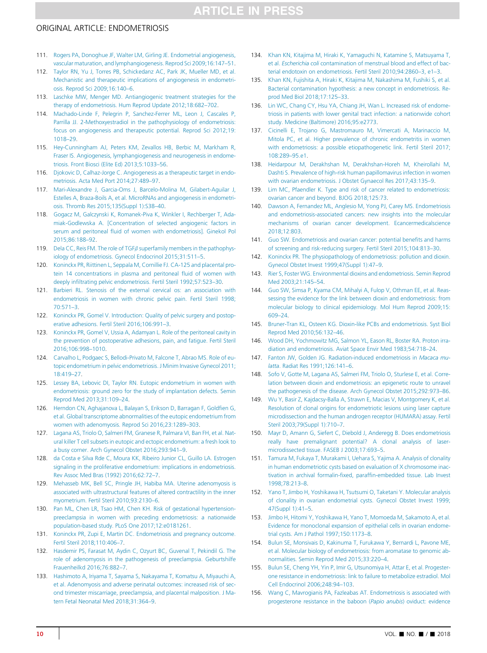#### <span id="page-9-0"></span>ORIGINAL ARTICLE: ENDOMETRIOSIS

- 111. [Rogers PA, Donoghue JF, Walter LM, Girling JE. Endometrial angiogenesis,](http://refhub.elsevier.com/S0015-0282(18)32135-6/sref111) [vascular maturation, and lymphangiogenesis. Reprod Sci 2009;16:147](http://refhub.elsevier.com/S0015-0282(18)32135-6/sref111)–51.
- 112. [Taylor RN, Yu J, Torres PB, Schickedanz AC, Park JK, Mueller MD, et al.](http://refhub.elsevier.com/S0015-0282(18)32135-6/sref112) [Mechanistic and therapeutic implications of angiogenesis in endometri](http://refhub.elsevier.com/S0015-0282(18)32135-6/sref112)[osis. Reprod Sci 2009;16:140](http://refhub.elsevier.com/S0015-0282(18)32135-6/sref112)–6.
- 113. [Laschke MW, Menger MD. Antiangiogenic treatment strategies for the](http://refhub.elsevier.com/S0015-0282(18)32135-6/sref113) [therapy of endometriosis. Hum Reprod Update 2012;18:682](http://refhub.elsevier.com/S0015-0282(18)32135-6/sref113)–702.
- 114. [Machado-Linde F, Pelegrin P, Sanchez-Ferrer ML, Leon J, Cascales P,](http://refhub.elsevier.com/S0015-0282(18)32135-6/sref114) [Parrilla JJ. 2-Methoxyestradiol in the pathophysiology of endometriosis:](http://refhub.elsevier.com/S0015-0282(18)32135-6/sref114) [focus on angiogenesis and therapeutic potential. Reprod Sci 2012;19:](http://refhub.elsevier.com/S0015-0282(18)32135-6/sref114) [1018](http://refhub.elsevier.com/S0015-0282(18)32135-6/sref114)–29.
- 115. [Hey-Cunningham AJ, Peters KM, Zevallos HB, Berbic M, Markham R,](http://refhub.elsevier.com/S0015-0282(18)32135-6/sref115) [Fraser IS. Angiogenesis, lymphangiogenesis and neurogenesis in endome](http://refhub.elsevier.com/S0015-0282(18)32135-6/sref115)[triosis. Front Biosci \(Elite Ed\) 2013;5:1033](http://refhub.elsevier.com/S0015-0282(18)32135-6/sref115)–56.
- 116. [Djokovic D, Calhaz-Jorge C. Angiogenesis as a therapeutic target in endo](http://refhub.elsevier.com/S0015-0282(18)32135-6/sref116)[metriosis. Acta Med Port 2014;27:489](http://refhub.elsevier.com/S0015-0282(18)32135-6/sref116)–97.
- 117. [Mari-Alexandre J, Garcia-Oms J, Barcelo-Molina M, Gilabert-Aguilar J,](http://refhub.elsevier.com/S0015-0282(18)32135-6/sref117) [Estelles A, Braza-Boils A, et al. MicroRNAs and angiogenesis in endometri](http://refhub.elsevier.com/S0015-0282(18)32135-6/sref117)[osis. Thromb Res 2015;135\(Suppl 1\):S38](http://refhub.elsevier.com/S0015-0282(18)32135-6/sref117)–40.
- 118. [Gogacz M, Galczynski K, Romanek-Piva K, Winkler I, Rechberger T, Ada](http://refhub.elsevier.com/S0015-0282(18)32135-6/sref118)[miak-Godlewska A. \[Concentration of selected angiogenic factors in](http://refhub.elsevier.com/S0015-0282(18)32135-6/sref118) serum and peritoneal fl[uid of women with endometriosis\]. Ginekol Pol](http://refhub.elsevier.com/S0015-0282(18)32135-6/sref118) [2015;86:188](http://refhub.elsevier.com/S0015-0282(18)32135-6/sref118)–92.
- 119. Dela CC, Reis FM. The role of TGF $\beta$  [superfamily members in the pathophys](http://refhub.elsevier.com/S0015-0282(18)32135-6/sref119)[iology of endometriosis. Gynecol Endocrinol 2015;31:511](http://refhub.elsevier.com/S0015-0282(18)32135-6/sref119)–5.
- 120. [Koninckx PR, Riittinen L, Seppala M, Cornillie FJ. CA-125 and placental pro](http://refhub.elsevier.com/S0015-0282(18)32135-6/sref120)[tein 14 concentrations in plasma and peritoneal](http://refhub.elsevier.com/S0015-0282(18)32135-6/sref120) fluid of women with deeply infi[ltrating pelvic endometriosis. Fertil Steril 1992;57:523](http://refhub.elsevier.com/S0015-0282(18)32135-6/sref120)–30.
- 121. [Barbieri RL. Stenosis of the external cervical os: an association with](http://refhub.elsevier.com/S0015-0282(18)32135-6/sref121) [endometriosis in women with chronic pelvic pain. Fertil Steril 1998;](http://refhub.elsevier.com/S0015-0282(18)32135-6/sref121) [70:571](http://refhub.elsevier.com/S0015-0282(18)32135-6/sref121)–3.
- 122. [Koninckx PR, Gomel V. Introduction: Quality of pelvic surgery and postop](http://refhub.elsevier.com/S0015-0282(18)32135-6/sref122)[erative adhesions. Fertil Steril 2016;106:991](http://refhub.elsevier.com/S0015-0282(18)32135-6/sref122)–3.
- 123. [Koninckx PR, Gomel V, Ussia A, Adamyan L. Role of the peritoneal cavity in](http://refhub.elsevier.com/S0015-0282(18)32135-6/sref123) [the prevention of postoperative adhesions, pain, and fatigue. Fertil Steril](http://refhub.elsevier.com/S0015-0282(18)32135-6/sref123) [2016;106:998](http://refhub.elsevier.com/S0015-0282(18)32135-6/sref123)–1010.
- 124. [Carvalho L, Podgaec S, Bellodi-Privato M, Falcone T, Abrao MS. Role of eu](http://refhub.elsevier.com/S0015-0282(18)32135-6/sref124)[topic endometrium in pelvic endometriosis. J Minim Invasive Gynecol 2011;](http://refhub.elsevier.com/S0015-0282(18)32135-6/sref124) [18:419](http://refhub.elsevier.com/S0015-0282(18)32135-6/sref124)–27.
- 125. [Lessey BA, Lebovic DI, Taylor RN. Eutopic endometrium in women with](http://refhub.elsevier.com/S0015-0282(18)32135-6/sref125) [endometriosis: ground zero for the study of implantation defects. Semin](http://refhub.elsevier.com/S0015-0282(18)32135-6/sref125) [Reprod Med 2013;31:109](http://refhub.elsevier.com/S0015-0282(18)32135-6/sref125)–24.
- 126. [Herndon CN, Aghajanova L, Balayan S, Erikson D, Barragan F, Gold](http://refhub.elsevier.com/S0015-0282(18)32135-6/sref126)fien G, [et al. Global transcriptome abnormalities of the eutopic endometrium from](http://refhub.elsevier.com/S0015-0282(18)32135-6/sref126) [women with adenomyosis. Reprod Sci 2016;23:1289](http://refhub.elsevier.com/S0015-0282(18)32135-6/sref126)–303.
- 127. [Lagana AS, Triolo O, Salmeri FM, Granese R, Palmara VI, Ban FH, et al. Nat](http://refhub.elsevier.com/S0015-0282(18)32135-6/sref127)[ural killer T cell subsets in eutopic and ectopic endometrium: a fresh look to](http://refhub.elsevier.com/S0015-0282(18)32135-6/sref127) [a busy corner. Arch Gynecol Obstet 2016;293:941](http://refhub.elsevier.com/S0015-0282(18)32135-6/sref127)–9.
- 128. [da Costa e Silva Rde C, Moura KK, Ribeiro Junior CL, Guillo LA. Estrogen](http://refhub.elsevier.com/S0015-0282(18)32135-6/sref128) [signaling in the proliferative endometrium: implications in endometriosis.](http://refhub.elsevier.com/S0015-0282(18)32135-6/sref128) [Rev Assoc Med Bras \(1992\) 2016;62:72](http://refhub.elsevier.com/S0015-0282(18)32135-6/sref128)–7.
- 129. [Mehasseb MK, Bell SC, Pringle JH, Habiba MA. Uterine adenomyosis is](http://refhub.elsevier.com/S0015-0282(18)32135-6/sref129) [associated with ultrastructural features of altered contractility in the inner](http://refhub.elsevier.com/S0015-0282(18)32135-6/sref129) [myometrium. Fertil Steril 2010;93:2130](http://refhub.elsevier.com/S0015-0282(18)32135-6/sref129)–6.
- 130. [Pan ML, Chen LR, Tsao HM, Chen KH. Risk of gestational hypertension](http://refhub.elsevier.com/S0015-0282(18)32135-6/sref130)[preeclampsia in women with preceding endometriosis: a nationwide](http://refhub.elsevier.com/S0015-0282(18)32135-6/sref130) [population-based study. PLoS One 2017;12:e0181261](http://refhub.elsevier.com/S0015-0282(18)32135-6/sref130).
- 131. [Koninckx PR, Zupi E, Martin DC. Endometriosis and pregnancy outcome.](http://refhub.elsevier.com/S0015-0282(18)32135-6/sref131) [Fertil Steril 2018;110:406](http://refhub.elsevier.com/S0015-0282(18)32135-6/sref131)–7.
- 132. [Hasdemir PS, Farasat M, Aydin C, Ozyurt BC, Guvenal T, Pekindil G. The](http://refhub.elsevier.com/S0015-0282(18)32135-6/sref132) [role of adenomyosis in the pathogenesis of preeclampsia. Geburtshilfe](http://refhub.elsevier.com/S0015-0282(18)32135-6/sref132) [Frauenheilkd 2016;76:882](http://refhub.elsevier.com/S0015-0282(18)32135-6/sref132)–7.
- 133. [Hashimoto A, Iriyama T, Sayama S, Nakayama T, Komatsu A, Miyauchi A,](http://refhub.elsevier.com/S0015-0282(18)32135-6/sref133) [et al. Adenomyosis and adverse perinatal outcomes: increased risk of sec](http://refhub.elsevier.com/S0015-0282(18)32135-6/sref133)[ond trimester miscarriage, preeclampsia, and placental malposition. J Ma](http://refhub.elsevier.com/S0015-0282(18)32135-6/sref133)[tern Fetal Neonatal Med 2018;31:364](http://refhub.elsevier.com/S0015-0282(18)32135-6/sref133)–9.
- 134. [Khan KN, Kitajima M, Hiraki K, Yamaguchi N, Katamine S, Matsuyama T,](http://refhub.elsevier.com/S0015-0282(18)32135-6/sref134) et al. Escherichia coli [contamination of menstrual blood and effect of bac](http://refhub.elsevier.com/S0015-0282(18)32135-6/sref134)[terial endotoxin on endometriosis. Fertil Steril 2010;94:2860](http://refhub.elsevier.com/S0015-0282(18)32135-6/sref134)–3, e1–3.
- 135. [Khan KN, Fujishita A, Hiraki K, Kitajima M, Nakashima M, Fushiki S, et al.](http://refhub.elsevier.com/S0015-0282(18)32135-6/sref135) [Bacterial contamination hypothesis: a new concept in endometriosis. Re](http://refhub.elsevier.com/S0015-0282(18)32135-6/sref135)[prod Med Biol 2018;17:125](http://refhub.elsevier.com/S0015-0282(18)32135-6/sref135)–33.
- 136. [Lin WC, Chang CY, Hsu YA, Chiang JH, Wan L. Increased risk of endome](http://refhub.elsevier.com/S0015-0282(18)32135-6/sref136)[triosis in patients with lower genital tract infection: a nationwide cohort](http://refhub.elsevier.com/S0015-0282(18)32135-6/sref136) [study. Medicine \(Baltimore\) 2016;95:e2773](http://refhub.elsevier.com/S0015-0282(18)32135-6/sref136).
- 137. [Cicinelli E, Trojano G, Mastromauro M, Vimercati A, Marinaccio M,](http://refhub.elsevier.com/S0015-0282(18)32135-6/sref137) [Mitola PC, et al. Higher prevalence of chronic endometritis in women](http://refhub.elsevier.com/S0015-0282(18)32135-6/sref137) [with endometriosis: a possible etiopathogenetic link. Fertil Steril 2017;](http://refhub.elsevier.com/S0015-0282(18)32135-6/sref137) [108:289](http://refhub.elsevier.com/S0015-0282(18)32135-6/sref137)–95.e1.
- 138. [Heidarpour M, Derakhshan M, Derakhshan-Horeh M, Kheirollahi M,](http://refhub.elsevier.com/S0015-0282(18)32135-6/sref138) [Dashti S. Prevalence of high-risk human papillomavirus infection in women](http://refhub.elsevier.com/S0015-0282(18)32135-6/sref138) [with ovarian endometriosis. J Obstet Gynaecol Res 2017;43:135](http://refhub.elsevier.com/S0015-0282(18)32135-6/sref138)–9.
- 139. [Lim MC, Pfaendler K. Type and risk of cancer related to endometriosis:](http://refhub.elsevier.com/S0015-0282(18)32135-6/sref139) [ovarian cancer and beyond. BJOG 2018;125:73.](http://refhub.elsevier.com/S0015-0282(18)32135-6/sref139)
- 140. [Dawson A, Fernandez ML, Anglesio M, Yong PJ, Carey MS. Endometriosis](http://refhub.elsevier.com/S0015-0282(18)32135-6/sref140) [and endometriosis-associated cancers: new insights into the molecular](http://refhub.elsevier.com/S0015-0282(18)32135-6/sref140) [mechanisms of ovarian cancer development. Ecancermedicalscience](http://refhub.elsevier.com/S0015-0282(18)32135-6/sref140) [2018;12:803.](http://refhub.elsevier.com/S0015-0282(18)32135-6/sref140)
- 141. [Guo SW. Endometriosis and ovarian cancer: potential bene](http://refhub.elsevier.com/S0015-0282(18)32135-6/sref141)fits and harms [of screening and risk-reducing surgery. Fertil Steril 2015;104:813](http://refhub.elsevier.com/S0015-0282(18)32135-6/sref141)–30.
- 142. [Koninckx PR. The physiopathology of endometriosis: pollution and dioxin.](http://refhub.elsevier.com/S0015-0282(18)32135-6/sref142) [Gynecol Obstet Invest 1999;47\(Suppl 1\):47](http://refhub.elsevier.com/S0015-0282(18)32135-6/sref142)–9.
- 143. [Rier S, Foster WG. Environmental dioxins and endometriosis. Semin Reprod](http://refhub.elsevier.com/S0015-0282(18)32135-6/sref143) [Med 2003;21:145](http://refhub.elsevier.com/S0015-0282(18)32135-6/sref143)–54.
- 144. [Guo SW, Simsa P, Kyama CM, Mihalyi A, Fulop V, Othman EE, et al. Reas](http://refhub.elsevier.com/S0015-0282(18)32135-6/sref144)[sessing the evidence for the link between dioxin and endometriosis: from](http://refhub.elsevier.com/S0015-0282(18)32135-6/sref144) [molecular biology to clinical epidemiology. Mol Hum Reprod 2009;15:](http://refhub.elsevier.com/S0015-0282(18)32135-6/sref144) [609](http://refhub.elsevier.com/S0015-0282(18)32135-6/sref144)–24.
- 145. [Bruner-Tran KL, Osteen KG. Dioxin-like PCBs and endometriosis. Syst Biol](http://refhub.elsevier.com/S0015-0282(18)32135-6/sref145) [Reprod Med 2010;56:132](http://refhub.elsevier.com/S0015-0282(18)32135-6/sref145)–46.
- 146. [Wood DH, Yochmowitz MG, Salmon YL, Eason RL, Boster RA. Proton irra](http://refhub.elsevier.com/S0015-0282(18)32135-6/sref146)[diation and endometriosis. Aviat Space Envir Med 1983;54:718](http://refhub.elsevier.com/S0015-0282(18)32135-6/sref146)–24.
- 147. [Fanton JW, Golden JG. Radiation-induced endometriosis in](http://refhub.elsevier.com/S0015-0282(18)32135-6/sref147) Macaca mulatta[. Radiat Res 1991;126:141](http://refhub.elsevier.com/S0015-0282(18)32135-6/sref147)–6.
- 148. [Sofo V, Gotte M, Lagana AS, Salmeri FM, Triolo O, Sturlese E, et al. Corre](http://refhub.elsevier.com/S0015-0282(18)32135-6/sref148)[lation between dioxin and endometriosis: an epigenetic route to unravel](http://refhub.elsevier.com/S0015-0282(18)32135-6/sref148) [the pathogenesis of the disease. Arch Gynecol Obstet 2015;292:973](http://refhub.elsevier.com/S0015-0282(18)32135-6/sref148)–86.
- 149. [Wu Y, Basir Z, Kajdacsy-Balla A, Strawn E, Macias V, Montgomery K, et al.](http://refhub.elsevier.com/S0015-0282(18)32135-6/sref149) [Resolution of clonal origins for endometriotic lesions using laser capture](http://refhub.elsevier.com/S0015-0282(18)32135-6/sref149) [microdissection and the human androgen receptor \(HUMARA\) assay. Fertil](http://refhub.elsevier.com/S0015-0282(18)32135-6/sref149) [Steril 2003;79\(Suppl 1\):710](http://refhub.elsevier.com/S0015-0282(18)32135-6/sref149)–7.
- 150. [Mayr D, Amann G, Siefert C, Diebold J, Anderegg B. Does endometriosis](http://refhub.elsevier.com/S0015-0282(18)32135-6/sref150) [really have premalignant potential? A clonal analysis of laser](http://refhub.elsevier.com/S0015-0282(18)32135-6/sref150)[microdissected tissue. FASEB J 2003;17:693](http://refhub.elsevier.com/S0015-0282(18)32135-6/sref150)–5.
- 151. [Tamura M, Fukaya T, Murakami I, Uehara S, Yajima A. Analysis of clonality](http://refhub.elsevier.com/S0015-0282(18)32135-6/sref151) [in human endometriotic cysts based on evaluation of X chromosome inac](http://refhub.elsevier.com/S0015-0282(18)32135-6/sref151)tivation in archival formalin-fixed, paraffi[n-embedded tissue. Lab Invest](http://refhub.elsevier.com/S0015-0282(18)32135-6/sref151) [1998;78:213](http://refhub.elsevier.com/S0015-0282(18)32135-6/sref151)–8.
- 152. [Yano T, Jimbo H, Yoshikawa H, Tsutsumi O, Taketani Y. Molecular analysis](http://refhub.elsevier.com/S0015-0282(18)32135-6/sref152) [of clonality in ovarian endometrial cysts. Gynecol Obstet Invest 1999;](http://refhub.elsevier.com/S0015-0282(18)32135-6/sref152) [47\(Suppl 1\):41](http://refhub.elsevier.com/S0015-0282(18)32135-6/sref152)–5.
- 153. [Jimbo H, Hitomi Y, Yoshikawa H, Yano T, Momoeda M, Sakamoto A, et al.](http://refhub.elsevier.com/S0015-0282(18)32135-6/sref153) [Evidence for monoclonal expansion of epithelial cells in ovarian endome](http://refhub.elsevier.com/S0015-0282(18)32135-6/sref153)[trial cysts. Am J Pathol 1997;150:1173](http://refhub.elsevier.com/S0015-0282(18)32135-6/sref153)–8.
- 154. [Bulun SE, Monsivais D, Kakinuma T, Furukawa Y, Bernardi L, Pavone ME,](http://refhub.elsevier.com/S0015-0282(18)32135-6/sref154) [et al. Molecular biology of endometriosis: from aromatase to genomic ab](http://refhub.elsevier.com/S0015-0282(18)32135-6/sref154)[normalities. Semin Reprod Med 2015;33:220](http://refhub.elsevier.com/S0015-0282(18)32135-6/sref154)–4.
- 155. [Bulun SE, Cheng YH, Yin P, Imir G, Utsunomiya H, Attar E, et al. Progester](http://refhub.elsevier.com/S0015-0282(18)32135-6/sref155)[one resistance in endometriosis: link to failure to metabolize estradiol. Mol](http://refhub.elsevier.com/S0015-0282(18)32135-6/sref155) [Cell Endocrinol 2006;248:94](http://refhub.elsevier.com/S0015-0282(18)32135-6/sref155)–103.
- 156. [Wang C, Mavrogianis PA, Fazleabas AT. Endometriosis is associated with](http://refhub.elsevier.com/S0015-0282(18)32135-6/sref156) [progesterone resistance in the baboon \(](http://refhub.elsevier.com/S0015-0282(18)32135-6/sref156)Papio anubis) oviduct: evidence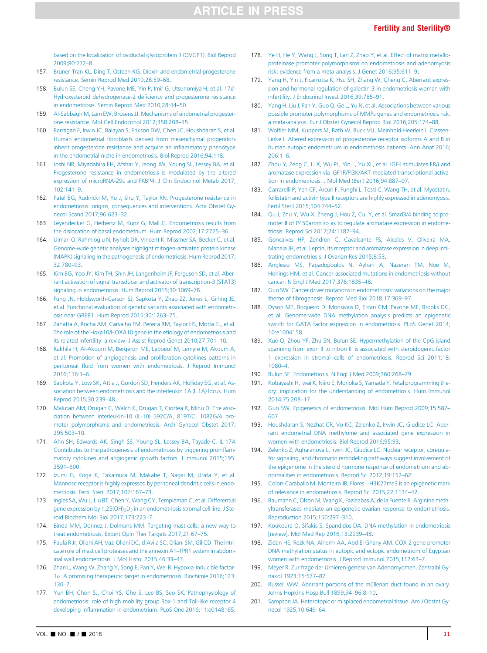<span id="page-10-0"></span>[based on the localization of oviductal glycoprotein 1 \(OVGP1\). Biol Reprod](http://refhub.elsevier.com/S0015-0282(18)32135-6/sref156) [2009;80:272](http://refhub.elsevier.com/S0015-0282(18)32135-6/sref156)–8.

- 157. [Bruner-Tran KL, Ding T, Osteen KG. Dioxin and endometrial progesterone](http://refhub.elsevier.com/S0015-0282(18)32135-6/sref157) [resistance. Semin Reprod Med 2010;28:59](http://refhub.elsevier.com/S0015-0282(18)32135-6/sref157)–68.
- 158. [Bulun SE, Cheng YH, Pavone ME, Yin P, Imir G, Utsunomiya H, et al. 17](http://refhub.elsevier.com/S0015-0282(18)32135-6/sref158) $\beta$ -[Hydroxysteroid dehydrogenase-2 de](http://refhub.elsevier.com/S0015-0282(18)32135-6/sref158)ficiency and progesterone resistance [in endometriosis. Semin Reprod Med 2010;28:44](http://refhub.elsevier.com/S0015-0282(18)32135-6/sref158)–50.
- 159. [Al-Sabbagh M, Lam EW, Brosens JJ. Mechanisms of endometrial progester](http://refhub.elsevier.com/S0015-0282(18)32135-6/sref159)[one resistance. Mol Cell Endocrinol 2012;358:208](http://refhub.elsevier.com/S0015-0282(18)32135-6/sref159)–15.
- 160. [Barragan F, Irwin JC, Balayan S, Erikson DW, Chen JC, Houshdaran S, et al.](http://refhub.elsevier.com/S0015-0282(18)32135-6/sref160) Human endometrial fi[broblasts derived from mesenchymal progenitors](http://refhub.elsevier.com/S0015-0282(18)32135-6/sref160) [inherit progesterone resistance and acquire an in](http://refhub.elsevier.com/S0015-0282(18)32135-6/sref160)flammatory phenotype [in the endometrial niche in endometriosis. Biol Reprod 2016;94:118.](http://refhub.elsevier.com/S0015-0282(18)32135-6/sref160)
- 161. [Joshi NR, Miyadahira EH, Afshar Y, Jeong JW, Young SL, Lessey BA, et al.](http://refhub.elsevier.com/S0015-0282(18)32135-6/sref161) [Progesterone resistance in endometriosis is modulated by the altered](http://refhub.elsevier.com/S0015-0282(18)32135-6/sref161) [expression of microRNA-29c and FKBP4. J Clin Endocrinol Metab 2017;](http://refhub.elsevier.com/S0015-0282(18)32135-6/sref161) [102:141](http://refhub.elsevier.com/S0015-0282(18)32135-6/sref161)–9.
- 162. [Patel BG, Rudnicki M, Yu J, Shu Y, Taylor RN. Progesterone resistance in](http://refhub.elsevier.com/S0015-0282(18)32135-6/sref162) [endometriosis: origins, consequences and interventions. Acta Obstet Gy](http://refhub.elsevier.com/S0015-0282(18)32135-6/sref162)[necol Scand 2017;96:623](http://refhub.elsevier.com/S0015-0282(18)32135-6/sref162)–32.
- 163. [Leyendecker G, Herbertz M, Kunz G, Mall G. Endometriosis results from](http://refhub.elsevier.com/S0015-0282(18)32135-6/sref163) [the dislocation of basal endometrium. Hum Reprod 2002;17:2725](http://refhub.elsevier.com/S0015-0282(18)32135-6/sref163)–36.
- 164. [Uimari O, Rahmioglu N, Nyholt DR, Vincent K, Missmer SA, Becker C, et al.](http://refhub.elsevier.com/S0015-0282(18)32135-6/sref164) [Genome-wide genetic analyses highlight mitogen-activated protein kinase](http://refhub.elsevier.com/S0015-0282(18)32135-6/sref164) [\(MAPK\) signaling in the pathogenesis of endometriosis. Hum Reprod 2017;](http://refhub.elsevier.com/S0015-0282(18)32135-6/sref164) [32:780](http://refhub.elsevier.com/S0015-0282(18)32135-6/sref164)–93.
- 165. [Kim BG, Yoo JY, Kim TH, Shin JH, Langenheim JF, Ferguson SD, et al. Aber](http://refhub.elsevier.com/S0015-0282(18)32135-6/sref165)[rant activation of signal transducer and activator of transcription-3 \(STAT3\)](http://refhub.elsevier.com/S0015-0282(18)32135-6/sref165) [signaling in endometriosis. Hum Reprod 2015;30:1069](http://refhub.elsevier.com/S0015-0282(18)32135-6/sref165)–78.
- 166. [Fung JN, Holdsworth-Carson SJ, Sapkota Y, Zhao ZZ, Jones L, Girling JE,](http://refhub.elsevier.com/S0015-0282(18)32135-6/sref166) [et al. Functional evaluation of genetic variants associated with endometri](http://refhub.elsevier.com/S0015-0282(18)32135-6/sref166)[osis near GREB1. Hum Reprod 2015;30:1263](http://refhub.elsevier.com/S0015-0282(18)32135-6/sref166)–75.
- 167. [Zanatta A, Rocha AM, Carvalho FM, Pereira RM, Taylor HS, Motta EL, et al.](http://refhub.elsevier.com/S0015-0282(18)32135-6/sref167) [The role of the Hoxa10/HOXA10 gene in the etiology of endometriosis and](http://refhub.elsevier.com/S0015-0282(18)32135-6/sref167) [its related infertility: a review. J Assist Reprod Genet 2010;27:701](http://refhub.elsevier.com/S0015-0282(18)32135-6/sref167)–10.
- 168. [Rakhila H, Al-Akoum M, Bergeron ME, Leboeuf M, Lemyre M, Akoum A,](http://refhub.elsevier.com/S0015-0282(18)32135-6/sref168) [et al. Promotion of angiogenesis and proliferation cytokines patterns in](http://refhub.elsevier.com/S0015-0282(18)32135-6/sref168) peritoneal fl[uid from women with endometriosis. J Reprod Immunol](http://refhub.elsevier.com/S0015-0282(18)32135-6/sref168) [2016;116:1](http://refhub.elsevier.com/S0015-0282(18)32135-6/sref168)–6.
- 169. [Sapkota Y, Low SK, Attia J, Gordon SD, Henders AK, Holliday EG, et al. As](http://refhub.elsevier.com/S0015-0282(18)32135-6/sref169)[sociation between endometriosis and the interleukin 1A \(IL1A\) locus. Hum](http://refhub.elsevier.com/S0015-0282(18)32135-6/sref169) [Reprod 2015;30:239](http://refhub.elsevier.com/S0015-0282(18)32135-6/sref169)–48.
- 170. [Malutan AM, Drugan C, Walch K, Drugan T, Ciortea R, Mihu D. The asso](http://refhub.elsevier.com/S0015-0282(18)32135-6/sref170)[ciation between interleukin-10 \(IL-10\) 592C/A, 819T/C, 1082G/A pro](http://refhub.elsevier.com/S0015-0282(18)32135-6/sref170)[moter polymorphisms and endometriosis. Arch Gynecol Obstet 2017;](http://refhub.elsevier.com/S0015-0282(18)32135-6/sref170) [295:503](http://refhub.elsevier.com/S0015-0282(18)32135-6/sref170)–10.
- 171. [Ahn SH, Edwards AK, Singh SS, Young SL, Lessey BA, Tayade C. IL-17A](http://refhub.elsevier.com/S0015-0282(18)32135-6/sref171) [Contributes to the pathogenesis of endometriosis by triggering proin](http://refhub.elsevier.com/S0015-0282(18)32135-6/sref171)flam[matory cytokines and angiogenic growth factors. J Immunol 2015;195:](http://refhub.elsevier.com/S0015-0282(18)32135-6/sref171) [2591](http://refhub.elsevier.com/S0015-0282(18)32135-6/sref171)–600.
- 172. [Izumi G, Koga K, Takamura M, Makabe T, Nagai M, Urata Y, et al.](http://refhub.elsevier.com/S0015-0282(18)32135-6/sref172) [Mannose receptor is highly expressed by peritoneal dendritic cells in endo](http://refhub.elsevier.com/S0015-0282(18)32135-6/sref172)[metriosis. Fertil Steril 2017;107:167](http://refhub.elsevier.com/S0015-0282(18)32135-6/sref172)–73.
- 173. [Ingles SA, Wu L, Liu BT, Chen Y, Wang CY, Templeman C, et al. Differential](http://refhub.elsevier.com/S0015-0282(18)32135-6/sref173) gene expression by 1,25(OH)<sub>2</sub>D<sub>3</sub> [in an endometriosis stromal cell line. J Ste](http://refhub.elsevier.com/S0015-0282(18)32135-6/sref173)[roid Biochem Mol Biol 2017;173:223](http://refhub.elsevier.com/S0015-0282(18)32135-6/sref173)–7.
- 174. [Binda MM, Donnez J, Dolmans MM. Targeting mast cells: a new way to](http://refhub.elsevier.com/S0015-0282(18)32135-6/sref174) [treat endometriosis. Expert Opin Ther Targets 2017;21:67](http://refhub.elsevier.com/S0015-0282(18)32135-6/sref174)–75.
- 175. [Paula R Jr, Oliani AH, Vaz-Oliani DC, d'Avila SC, Oliani SM, Gil CD. The intri](http://refhub.elsevier.com/S0015-0282(18)32135-6/sref175)[cate role of mast cell proteases and the annexin A1](http://refhub.elsevier.com/S0015-0282(18)32135-6/sref175)–FPR1 system in abdom[inal wall endometriosis. J Mol Histol 2015;46:33](http://refhub.elsevier.com/S0015-0282(18)32135-6/sref175)–43.
- 176. [Zhan L, Wang W, Zhang Y, Song E, Fan Y, Wei B. Hypoxia-inducible factor-](http://refhub.elsevier.com/S0015-0282(18)32135-6/sref176)1a[: A promising therapeutic target in endometriosis. Biochimie 2016;123:](http://refhub.elsevier.com/S0015-0282(18)32135-6/sref176) [130](http://refhub.elsevier.com/S0015-0282(18)32135-6/sref176)–7.
- 177. [Yun BH, Chon SJ, Choi YS, Cho S, Lee BS, Seo SK. Pathophysiology of](http://refhub.elsevier.com/S0015-0282(18)32135-6/sref177) [endometriosis: role of high mobility group Box-1 and Toll-like receptor 4](http://refhub.elsevier.com/S0015-0282(18)32135-6/sref177) developing infl[ammation in endometrium. PLoS One 2016;11:e0148165](http://refhub.elsevier.com/S0015-0282(18)32135-6/sref177).
- 178. [Ye H, He Y, Wang J, Song T, Lan Z, Zhao Y, et al. Effect of matrix metallo](http://refhub.elsevier.com/S0015-0282(18)32135-6/sref178)[proteinase promoter polymorphisms on endometriosis and adenomyosis](http://refhub.elsevier.com/S0015-0282(18)32135-6/sref178) [risk: evidence from a meta-analysis. J Genet 2016;95:611](http://refhub.elsevier.com/S0015-0282(18)32135-6/sref178)–9.
- 179. [Yang H, Yin J, Ficarrotta K, Hsu SH, Zhang W, Cheng C. Aberrant expres](http://refhub.elsevier.com/S0015-0282(18)32135-6/sref179)[sion and hormonal regulation of galectin-3 in endometriosis women with](http://refhub.elsevier.com/S0015-0282(18)32135-6/sref179) [infertility. J Endocrinol Invest 2016;39:785](http://refhub.elsevier.com/S0015-0282(18)32135-6/sref179)–91.
- 180. [Yang H, Liu J, Fan Y, Guo Q, Ge L, Yu N, et al. Associations between various](http://refhub.elsevier.com/S0015-0282(18)32135-6/sref180) [possible promoter polymorphisms of MMPs genes and endometriosis risk:](http://refhub.elsevier.com/S0015-0282(18)32135-6/sref180) [a meta-analysis. Eur J Obstet Gynecol Reprod Biol 2016;205:174](http://refhub.elsevier.com/S0015-0282(18)32135-6/sref180)–88.
- 181. Wolfl[er MM, Kuppers M, Rath W, Buck VU, Meinhold-Heerlein I, Classen-](http://refhub.elsevier.com/S0015-0282(18)32135-6/sref181)[Linke I. Altered expression of progesterone receptor isoforms A and B in](http://refhub.elsevier.com/S0015-0282(18)32135-6/sref181) [human eutopic endometrium in endometriosis patients. Ann Anat 2016;](http://refhub.elsevier.com/S0015-0282(18)32135-6/sref181) [206:1](http://refhub.elsevier.com/S0015-0282(18)32135-6/sref181)–6.
- 182. Zhou Y, Zeng C, Li X, Wu PL, Yin L, Yu XL, et al. IGF-I stimulates  $ER\beta$  and [aromatase expression via IGF1R/PI3K/AKT-mediated transcriptional activa](http://refhub.elsevier.com/S0015-0282(18)32135-6/sref182)[tion in endometriosis. J Mol Med \(Berl\) 2016;94:887](http://refhub.elsevier.com/S0015-0282(18)32135-6/sref182)–97.
- 183. [Carrarelli P, Yen CF, Arcuri F, Funghi L, Tosti C, Wang TH, et al. Myostatin,](http://refhub.elsevier.com/S0015-0282(18)32135-6/sref183) [follistatin and activin type II receptors are highly expressed in adenomyosis.](http://refhub.elsevier.com/S0015-0282(18)32135-6/sref183) [Fertil Steril 2015;104:744](http://refhub.elsevier.com/S0015-0282(18)32135-6/sref183)–52.
- 184. [Qu J, Zhu Y, Wu X, Zheng J, Hou Z, Cui Y, et al. Smad3/4 binding to pro](http://refhub.elsevier.com/S0015-0282(18)32135-6/sref184)[moter II of P450arom so as to regulate aromatase expression in endome](http://refhub.elsevier.com/S0015-0282(18)32135-6/sref184)[triosis. Reprod Sci 2017;24:1187](http://refhub.elsevier.com/S0015-0282(18)32135-6/sref184)–94.
- 185. [Goncalves HF, Zendron C, Cavalcante FS, Aiceles V, Oliveira MA,](http://refhub.elsevier.com/S0015-0282(18)32135-6/sref185) [Manaia JH, et al. Leptin, its receptor and aromatase expression in deep in](http://refhub.elsevier.com/S0015-0282(18)32135-6/sref185)fil[trating endometriosis. J Ovarian Res 2015;8:53](http://refhub.elsevier.com/S0015-0282(18)32135-6/sref185).
- 186. [Anglesio MS, Papadopoulos N, Ayhan A, Nazeran TM, Noe M,](http://refhub.elsevier.com/S0015-0282(18)32135-6/sref186) [Horlings HM, et al. Cancer-associated mutations in endometriosis without](http://refhub.elsevier.com/S0015-0282(18)32135-6/sref186) [cancer. N Engl J Med 2017;376:1835](http://refhub.elsevier.com/S0015-0282(18)32135-6/sref186)–48.
- 187. [Guo SW. Cancer driver mutations in endometriosis: variations on the major](http://refhub.elsevier.com/S0015-0282(18)32135-6/sref187) theme of fi[brogenesis. Reprod Med Biol 2018;17:369](http://refhub.elsevier.com/S0015-0282(18)32135-6/sref187)–97.
- 188. [Dyson MT, Roqueiro D, Monsivais D, Ercan CM, Pavone ME, Brooks DC,](http://refhub.elsevier.com/S0015-0282(18)32135-6/sref188) [et al. Genome-wide DNA methylation analysis predicts an epigenetic](http://refhub.elsevier.com/S0015-0282(18)32135-6/sref188) [switch for GATA factor expression in endometriosis. PLoS Genet 2014;](http://refhub.elsevier.com/S0015-0282(18)32135-6/sref188) [10:e1004158.](http://refhub.elsevier.com/S0015-0282(18)32135-6/sref188)
- 189. [Xue Q, Zhou YF, Zhu SN, Bulun SE. Hypermethylation of the CpG island](http://refhub.elsevier.com/S0015-0282(18)32135-6/sref189) [spanning from exon II to intron III is associated with steroidogenic factor](http://refhub.elsevier.com/S0015-0282(18)32135-6/sref189) [1 expression in stromal cells of endometriosis. Reprod Sci 2011;18:](http://refhub.elsevier.com/S0015-0282(18)32135-6/sref189) [1080](http://refhub.elsevier.com/S0015-0282(18)32135-6/sref189)–4.
- 190. [Bulun SE. Endometriosis. N Engl J Med 2009;360:268](http://refhub.elsevier.com/S0015-0282(18)32135-6/sref190)–79.
- 191. [Kobayashi H, Iwai K, Niiro E, Morioka S, Yamada Y. Fetal programming the](http://refhub.elsevier.com/S0015-0282(18)32135-6/sref191)[ory: implication for the understanding of endometriosis. Hum Immunol](http://refhub.elsevier.com/S0015-0282(18)32135-6/sref191) [2014;75:208](http://refhub.elsevier.com/S0015-0282(18)32135-6/sref191)–17.
- 192. [Guo SW. Epigenetics of endometriosis. Mol Hum Reprod 2009;15:587](http://refhub.elsevier.com/S0015-0282(18)32135-6/sref192) [607.](http://refhub.elsevier.com/S0015-0282(18)32135-6/sref192)
- 193. [Houshdaran S, Nezhat CR, Vo KC, Zelenko Z, Irwin JC, Giudice LC. Aber](http://refhub.elsevier.com/S0015-0282(18)32135-6/sref193)[rant endometrial DNA methylome and associated gene expression in](http://refhub.elsevier.com/S0015-0282(18)32135-6/sref193) [women with endometriosis. Biol Reprod 2016;95:93](http://refhub.elsevier.com/S0015-0282(18)32135-6/sref193).
- 194. [Zelenko Z, Aghajanova L, Irwin JC, Giudice LC. Nuclear receptor, coregula](http://refhub.elsevier.com/S0015-0282(18)32135-6/sref194)[tor signaling, and chromatin remodeling pathways suggest involvement of](http://refhub.elsevier.com/S0015-0282(18)32135-6/sref194) [the epigenome in the steroid hormone response of endometrium and ab](http://refhub.elsevier.com/S0015-0282(18)32135-6/sref194)[normalities in endometriosis. Reprod Sci 2012;19:152](http://refhub.elsevier.com/S0015-0282(18)32135-6/sref194)–62.
- 195. [Colon-Caraballo M, Monteiro JB, Flores I. H3K27me3 is an epigenetic mark](http://refhub.elsevier.com/S0015-0282(18)32135-6/sref195) [of relevance in endometriosis. Reprod Sci 2015;22:1134](http://refhub.elsevier.com/S0015-0282(18)32135-6/sref195)–42.
- 196. [Baumann C, Olson M, Wang K, Fazleabas A, de la Fuente R. Arginine meth](http://refhub.elsevier.com/S0015-0282(18)32135-6/sref196)[yltransferases mediate an epigenetic ovarian response to endometriosis.](http://refhub.elsevier.com/S0015-0282(18)32135-6/sref196) [Reproduction 2015;150:297](http://refhub.elsevier.com/S0015-0282(18)32135-6/sref196)–310.
- 197. [Koukoura O, Sifakis S, Spandidos DA. DNA methylation in endometriosis](http://refhub.elsevier.com/S0015-0282(18)32135-6/sref197) [\[review\]. Mol Med Rep 2016;13:2939](http://refhub.elsevier.com/S0015-0282(18)32135-6/sref197)–48.
- 198. [Zidan HE, Rezk NA, Alnemr AA, Abd El Ghany AM. COX-2 gene promoter](http://refhub.elsevier.com/S0015-0282(18)32135-6/sref198) [DNA methylation status in eutopic and ectopic endometrium of Egyptian](http://refhub.elsevier.com/S0015-0282(18)32135-6/sref198) [women with endometriosis. J Reprod Immunol 2015;112:63](http://refhub.elsevier.com/S0015-0282(18)32135-6/sref198)–7.
- 199. [Meyer R. Zur frage der Urnieren-genese van Adenomyomen. Zentralbl Gy](http://refhub.elsevier.com/S0015-0282(18)32135-6/sref199)[nakol 1923;15:577](http://refhub.elsevier.com/S0015-0282(18)32135-6/sref199)–87.
- 200. Russell WW. Aberrant portions of the müllerian duct found in an ovary. [Johns Hopkins Hosp Bull 1899;94](http://refhub.elsevier.com/S0015-0282(18)32135-6/sref200)–96:8–10.
- 201. [Sampson JA. Heterotopic or misplaced endometrial tissue. Am J Obstet Gy](http://refhub.elsevier.com/S0015-0282(18)32135-6/sref201)[necol 1925;10:649](http://refhub.elsevier.com/S0015-0282(18)32135-6/sref201)–64.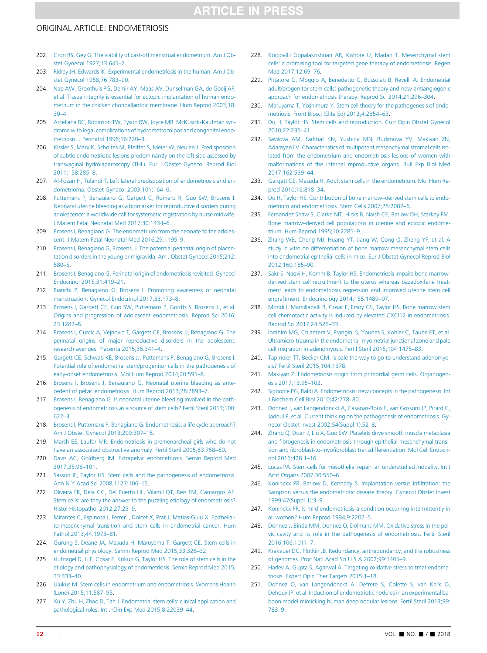#### <span id="page-11-0"></span>ORIGINAL ARTICLE: ENDOMETRIOSIS

- 202. [Cron RS, Gey G. The viability of cast-off menstrual endometrium. Am J Ob](http://refhub.elsevier.com/S0015-0282(18)32135-6/sref202)[stet Gynecol 1927;13:645](http://refhub.elsevier.com/S0015-0282(18)32135-6/sref202)–7.
- 203. [Ridley JH, Edwards IK. Experimental endometriosis in the human. Am J Ob](http://refhub.elsevier.com/S0015-0282(18)32135-6/sref203)[stet Gynecol 1958;76:783](http://refhub.elsevier.com/S0015-0282(18)32135-6/sref203)–90.
- 204. [Nap AW, Groothuis PG, Demir AY, Maas JW, Dunselman GA, de Goeij AF,](http://refhub.elsevier.com/S0015-0282(18)32135-6/sref204) [et al. Tissue integrity is essential for ectopic implantation of human endo](http://refhub.elsevier.com/S0015-0282(18)32135-6/sref204)[metrium in the chicken chorioallantoic membrane. Hum Reprod 2003;18:](http://refhub.elsevier.com/S0015-0282(18)32135-6/sref204) [30](http://refhub.elsevier.com/S0015-0282(18)32135-6/sref204)–4.
- 205. [Arcellana RC, Robinson TW, Tyson RW, Joyce MR. McKusick-Kaufman syn](http://refhub.elsevier.com/S0015-0282(18)32135-6/sref205)[drome with legal complications of hydrometrocolpos and congenital endo](http://refhub.elsevier.com/S0015-0282(18)32135-6/sref205)[metriosis. J Perinatol 1996;16:220](http://refhub.elsevier.com/S0015-0282(18)32135-6/sref205)–3.
- 206. [Kissler S, Marx K, Scholtes M, Pfeiffer S, Meier W, Neulen J. Predisposition](http://refhub.elsevier.com/S0015-0282(18)32135-6/sref206) [of subtle endometriotic lesions predominantly on the left side assessed by](http://refhub.elsevier.com/S0015-0282(18)32135-6/sref206) [transvaginal hydrolaparoscopy \(THL\). Eur J Obstet Gynecol Reprod Biol](http://refhub.elsevier.com/S0015-0282(18)32135-6/sref206) [2011;158:285](http://refhub.elsevier.com/S0015-0282(18)32135-6/sref206)–8.
- 207. [Al-Fozan H, Tulandi T. Left lateral predisposition of endometriosis and en](http://refhub.elsevier.com/S0015-0282(18)32135-6/sref207)[dometrioma. Obstet Gynecol 2003;101:164](http://refhub.elsevier.com/S0015-0282(18)32135-6/sref207)–6.
- 208. [Puttemans P, Benagiano G, Gargett C, Romero R, Guo SW, Brosens I.](http://refhub.elsevier.com/S0015-0282(18)32135-6/sref208) [Neonatal uterine bleeding as a biomarker for reproductive disorders during](http://refhub.elsevier.com/S0015-0282(18)32135-6/sref208) [adolescence: a worldwide call for systematic registration by nurse midwife.](http://refhub.elsevier.com/S0015-0282(18)32135-6/sref208) [J Matern Fetal Neonatal Med 2017;30:1434](http://refhub.elsevier.com/S0015-0282(18)32135-6/sref208)–6.
- 209. [Brosens I, Benagiano G. The endometrium from the neonate to the adoles](http://refhub.elsevier.com/S0015-0282(18)32135-6/sref209)[cent. J Matern Fetal Neonatal Med 2016;29:1195](http://refhub.elsevier.com/S0015-0282(18)32135-6/sref209)–9.
- 210. [Brosens I, Benagiano G, Brosens JJ. The potential perinatal origin of placen](http://refhub.elsevier.com/S0015-0282(18)32135-6/sref210)[tation disorders in the young primigravida. Am J Obstet Gynecol 2015;212:](http://refhub.elsevier.com/S0015-0282(18)32135-6/sref210) [580](http://refhub.elsevier.com/S0015-0282(18)32135-6/sref210)–5.
- 211. [Brosens I, Benagiano G. Perinatal origin of endometriosis revisited. Gynecol](http://refhub.elsevier.com/S0015-0282(18)32135-6/sref211) [Endocrinol 2015;31:419](http://refhub.elsevier.com/S0015-0282(18)32135-6/sref211)–21.
- 212. [Bianchi P, Benagiano G, Brosens I. Promoting awareness of neonatal](http://refhub.elsevier.com/S0015-0282(18)32135-6/sref212) [menstruation. Gynecol Endocrinol 2017;33:173](http://refhub.elsevier.com/S0015-0282(18)32135-6/sref212)–8.
- 213. [Brosens I, Gargett CE, Guo SW, Puttemans P, Gordts S, Brosens JJ, et al.](http://refhub.elsevier.com/S0015-0282(18)32135-6/sref213) [Origins and progression of adolescent endometriosis. Reprod Sci 2016;](http://refhub.elsevier.com/S0015-0282(18)32135-6/sref213) [23:1282](http://refhub.elsevier.com/S0015-0282(18)32135-6/sref213)–8.
- 214. [Brosens I, Curcic A, Vejnovic T, Gargett CE, Brosens JJ, Benagiano G. The](http://refhub.elsevier.com/S0015-0282(18)32135-6/sref214) [perinatal origins of major reproductive disorders in the adolescent:](http://refhub.elsevier.com/S0015-0282(18)32135-6/sref214) [research avenues. Placenta 2015;36:341](http://refhub.elsevier.com/S0015-0282(18)32135-6/sref214)–4.
- 215. [Gargett CE, Schwab KE, Brosens JJ, Puttemans P, Benagiano G, Brosens I.](http://refhub.elsevier.com/S0015-0282(18)32135-6/sref215) [Potential role of endometrial stem/progenitor cells in the pathogenesis of](http://refhub.elsevier.com/S0015-0282(18)32135-6/sref215) [early-onset endometriosis. Mol Hum Reprod 2014;20:591](http://refhub.elsevier.com/S0015-0282(18)32135-6/sref215)–8.
- 216. [Brosens I, Brosens J, Benagiano G. Neonatal uterine bleeding as ante](http://refhub.elsevier.com/S0015-0282(18)32135-6/sref216)[cedent of pelvic endometriosis. Hum Reprod 2013;28:2893](http://refhub.elsevier.com/S0015-0282(18)32135-6/sref216)–7.
- 217. [Brosens I, Benagiano G. Is neonatal uterine bleeding involved in the path](http://refhub.elsevier.com/S0015-0282(18)32135-6/sref217)[ogenesis of endometriosis as a source of stem cells? Fertil Steril 2013;100:](http://refhub.elsevier.com/S0015-0282(18)32135-6/sref217) [622](http://refhub.elsevier.com/S0015-0282(18)32135-6/sref217)–3.
- 218. [Brosens I, Puttemans P, Benagiano G. Endometriosis: a life cycle approach?](http://refhub.elsevier.com/S0015-0282(18)32135-6/sref218) [Am J Obstet Gynecol 2013;209:307](http://refhub.elsevier.com/S0015-0282(18)32135-6/sref218)–16.
- 219. [Marsh EE, Laufer MR. Endometriosis in premenarcheal girls who do not](http://refhub.elsevier.com/S0015-0282(18)32135-6/sref219) [have an associated obstructive anomaly. Fertil Steril 2005;83:758](http://refhub.elsevier.com/S0015-0282(18)32135-6/sref219)–60.
- 220. [Davis AC, Goldberg JM. Extrapelvic endometriosis. Semin Reprod Med](http://refhub.elsevier.com/S0015-0282(18)32135-6/sref220) [2017;35:98](http://refhub.elsevier.com/S0015-0282(18)32135-6/sref220)–101.
- 221. [Sasson IE, Taylor HS. Stem cells and the pathogenesis of endometriosis.](http://refhub.elsevier.com/S0015-0282(18)32135-6/sref221) [Ann N Y Acad Sci 2008;1127:106](http://refhub.elsevier.com/S0015-0282(18)32135-6/sref221)–15.
- 222. [Oliveira FR, Dela CC, Del Puerto HL, Vilamil QT, Reis FM, Camargos AF.](http://refhub.elsevier.com/S0015-0282(18)32135-6/sref222) [Stem cells: are they the answer to the puzzling etiology of endometriosis?](http://refhub.elsevier.com/S0015-0282(18)32135-6/sref222) [Histol Histopathol 2012;27:23](http://refhub.elsevier.com/S0015-0282(18)32135-6/sref222)–9.
- 223. [Mirantes C, Espinosa I, Ferrer I, Dolcet X, Prat J, Matias-Guiu X. Epithelial](http://refhub.elsevier.com/S0015-0282(18)32135-6/sref223)[to-mesenchymal transition and stem cells in endometrial cancer. Hum](http://refhub.elsevier.com/S0015-0282(18)32135-6/sref223) [Pathol 2013;44:1973](http://refhub.elsevier.com/S0015-0282(18)32135-6/sref223)–81.
- 224. [Gurung S, Deane JA, Masuda H, Maruyama T, Gargett CE. Stem cells in](http://refhub.elsevier.com/S0015-0282(18)32135-6/sref224) [endometrial physiology. Semin Reprod Med 2015;33:326](http://refhub.elsevier.com/S0015-0282(18)32135-6/sref224)–32.
- 225. [Hufnagel D, Li F, Cosar E, Krikun G, Taylor HS. The role of stem cells in the](http://refhub.elsevier.com/S0015-0282(18)32135-6/sref225) [etiology and pathophysiology of endometriosis. Semin Reprod Med 2015;](http://refhub.elsevier.com/S0015-0282(18)32135-6/sref225) [33:333](http://refhub.elsevier.com/S0015-0282(18)32135-6/sref225)–40.
- 226. [Ulukus M. Stem cells in endometrium and endometriosis. Womens Health](http://refhub.elsevier.com/S0015-0282(18)32135-6/sref226) [\(Lond\) 2015;11:587](http://refhub.elsevier.com/S0015-0282(18)32135-6/sref226)–95.
- 227. [Xu Y, Zhu H, Zhao D, Tan J. Endometrial stem cells: clinical application and](http://refhub.elsevier.com/S0015-0282(18)32135-6/sref227) [pathological roles. Int J Clin Exp Med 2015;8:22039](http://refhub.elsevier.com/S0015-0282(18)32135-6/sref227)–44.
- 228. [Koippallil Gopalakrishnan AR, Kishore U, Madan T. Mesenchymal stem](http://refhub.elsevier.com/S0015-0282(18)32135-6/sref228) [cells: a promising tool for targeted gene therapy of endometriosis. Regen](http://refhub.elsevier.com/S0015-0282(18)32135-6/sref228) Med 2017:12:69-76.
- 229. [Pittatore G, Moggio A, Benedetto C, Bussolati B, Revelli A. Endometrial](http://refhub.elsevier.com/S0015-0282(18)32135-6/sref229) [adult/progenitor stem cells: pathogenetic theory and new antiangiogenic](http://refhub.elsevier.com/S0015-0282(18)32135-6/sref229) [approach for endometriosis therapy. Reprod Sci 2014;21:296](http://refhub.elsevier.com/S0015-0282(18)32135-6/sref229)–304.
- 230. [Maruyama T, Yoshimura Y. Stem cell theory for the pathogenesis of endo](http://refhub.elsevier.com/S0015-0282(18)32135-6/sref230)[metriosis. Front Biosci \(Elite Ed\) 2012;4:2854](http://refhub.elsevier.com/S0015-0282(18)32135-6/sref230)–63.
- 231. [Du H, Taylor HS. Stem cells and reproduction. Curr Opin Obstet Gynecol](http://refhub.elsevier.com/S0015-0282(18)32135-6/sref231) [2010;22:235](http://refhub.elsevier.com/S0015-0282(18)32135-6/sref231)–41.
- 232. [Savilova AM, Farkhat KN, Yushina MN, Rudimova YV, Makiyan ZN,](http://refhub.elsevier.com/S0015-0282(18)32135-6/sref232) [Adamyan LV. Characteristics of multipotent mesenchymal stromal cells iso](http://refhub.elsevier.com/S0015-0282(18)32135-6/sref232)[lated from the endometrium and endometriosis lesions of women with](http://refhub.elsevier.com/S0015-0282(18)32135-6/sref232) [malformations of the internal reproductive organs. Bull Exp Biol Med](http://refhub.elsevier.com/S0015-0282(18)32135-6/sref232) [2017;162:539](http://refhub.elsevier.com/S0015-0282(18)32135-6/sref232)–44.
- 233. [Gargett CE, Masuda H. Adult stem cells in the endometrium. Mol Hum Re](http://refhub.elsevier.com/S0015-0282(18)32135-6/sref233)[prod 2010;16:818](http://refhub.elsevier.com/S0015-0282(18)32135-6/sref233)–34.
- 234. [Du H, Taylor HS. Contribution of bone marrow](http://refhub.elsevier.com/S0015-0282(18)32135-6/sref234)–derived stem cells to endo[metrium and endometriosis. Stem Cells 2007;25:2082](http://refhub.elsevier.com/S0015-0282(18)32135-6/sref234)–6.
- 235. [Fernandez Shaw S, Clarke MT, Hicks B, Naish CE, Barlow DH, Starkey PM.](http://refhub.elsevier.com/S0015-0282(18)32135-6/sref235) Bone marrow–[derived cell populations in uterine and ectopic endome](http://refhub.elsevier.com/S0015-0282(18)32135-6/sref235)[trium. Hum Reprod 1995;10:2285](http://refhub.elsevier.com/S0015-0282(18)32135-6/sref235)–9.
- 236. [Zhang WB, Cheng MJ, Huang YT, Jiang W, Cong Q, Zheng YF, et al. A](http://refhub.elsevier.com/S0015-0282(18)32135-6/sref236) [study in vitro on differentiation of bone marrow mesenchymal stem cells](http://refhub.elsevier.com/S0015-0282(18)32135-6/sref236) [into endometrial epithelial cells in mice. Eur J Obstet Gynecol Reprod Biol](http://refhub.elsevier.com/S0015-0282(18)32135-6/sref236) [2012;160:185](http://refhub.elsevier.com/S0015-0282(18)32135-6/sref236)–90.
- 237. [Sakr S, Naqvi H, Komm B, Taylor HS. Endometriosis impairs bone marrow](http://refhub.elsevier.com/S0015-0282(18)32135-6/sref237)[derived stem cell recruitment to the uterus whereas bazedoxifene treat](http://refhub.elsevier.com/S0015-0282(18)32135-6/sref237)[ment leads to endometriosis regression and improved uterine stem cell](http://refhub.elsevier.com/S0015-0282(18)32135-6/sref237) [engraftment. Endocrinology 2014;155:1489](http://refhub.elsevier.com/S0015-0282(18)32135-6/sref237)–97.
- 238. [Moridi I, Mamillapalli R, Cosar E, Ersoy GS, Taylor HS. Bone marrow stem](http://refhub.elsevier.com/S0015-0282(18)32135-6/sref238) [cell chemotactic activity is induced by elevated CXCl12 in endometriosis.](http://refhub.elsevier.com/S0015-0282(18)32135-6/sref238) [Reprod Sci 2017;24:526](http://refhub.elsevier.com/S0015-0282(18)32135-6/sref238)–33.
- 239. [Ibrahim MG, Chiantera V, Frangini S, Younes S, Kohler C, Taube ET, et al.](http://refhub.elsevier.com/S0015-0282(18)32135-6/sref239) [Ultramicro-trauma in the endometrial-myometrial junctional zone and pale](http://refhub.elsevier.com/S0015-0282(18)32135-6/sref239) [cell migration in adenomyosis. Fertil Steril 2015;104:1475](http://refhub.elsevier.com/S0015-0282(18)32135-6/sref239)–83.
- 240. [Tapmeier TT, Becker CM. Is pale the way to go to understand adenomyo](http://refhub.elsevier.com/S0015-0282(18)32135-6/sref240)[sis? Fertil Steril 2015;104:1378.](http://refhub.elsevier.com/S0015-0282(18)32135-6/sref240)
- 241. [Makiyan Z. Endometriosis origin from primordial germ cells. Organogen](http://refhub.elsevier.com/S0015-0282(18)32135-6/sref241)[esis 2017;13:95](http://refhub.elsevier.com/S0015-0282(18)32135-6/sref241)–102.
- 242. [Signorile PG, Baldi A. Endometriosis: new concepts in the pathogenesis. Int](http://refhub.elsevier.com/S0015-0282(18)32135-6/sref242) [J Biochem Cell Biol 2010;42:778](http://refhub.elsevier.com/S0015-0282(18)32135-6/sref242)–80.
- 243. [Donnez J, van Langendonckt A, Casanas-Roux F, van Gossum JP, Pirard C,](http://refhub.elsevier.com/S0015-0282(18)32135-6/sref243) [Jadoul P, et al. Current thinking on the pathogenesis of endometriosis. Gy](http://refhub.elsevier.com/S0015-0282(18)32135-6/sref243)[necol Obstet Invest 2002;54\(Suppl 1\):52](http://refhub.elsevier.com/S0015-0282(18)32135-6/sref243)–8.
- 244. [Zhang Q, Duan J, Liu X, Guo SW. Platelets drive smooth muscle metaplasia](http://refhub.elsevier.com/S0015-0282(18)32135-6/sref244) and fi[brogenesis in endometriosis through epithelial-mesenchymal transi](http://refhub.elsevier.com/S0015-0282(18)32135-6/sref244)tion and fibroblast-to-myofi[broblast transdifferentiation. Mol Cell Endocri](http://refhub.elsevier.com/S0015-0282(18)32135-6/sref244)[nol 2016;428:1](http://refhub.elsevier.com/S0015-0282(18)32135-6/sref244)–16.
- 245. [Lucas PA. Stem cells for mesothelial repair: an understudied modality. Int J](http://refhub.elsevier.com/S0015-0282(18)32135-6/sref245) [Artif Organs 2007;30:550](http://refhub.elsevier.com/S0015-0282(18)32135-6/sref245)–6.
- 246. [Koninckx PR, Barlow D, Kennedy S. Implantation versus in](http://refhub.elsevier.com/S0015-0282(18)32135-6/sref246)filtration: the [Sampson versus the endometriotic disease theory. Gynecol Obstet Invest](http://refhub.elsevier.com/S0015-0282(18)32135-6/sref246) [1999;47\(Suppl 1\):3](http://refhub.elsevier.com/S0015-0282(18)32135-6/sref246)–9.
- 247. [Koninckx PR. Is mild endometriosis a condition occurring intermittently in](http://refhub.elsevier.com/S0015-0282(18)32135-6/sref247) [all women? Hum Reprod 1994;9:2202](http://refhub.elsevier.com/S0015-0282(18)32135-6/sref247)–5.
- 248. [Donnez J, Binda MM, Donnez O, Dolmans MM. Oxidative stress in the pel](http://refhub.elsevier.com/S0015-0282(18)32135-6/sref248)[vic cavity and its role in the pathogenesis of endometriosis. Fertil Steril](http://refhub.elsevier.com/S0015-0282(18)32135-6/sref248) [2016;106:1011](http://refhub.elsevier.com/S0015-0282(18)32135-6/sref248)–7.
- 249. [Krakauer DC, Plotkin JB. Redundancy, antiredundancy, and the robustness](http://refhub.elsevier.com/S0015-0282(18)32135-6/sref249) [of genomes. Proc Natl Acad Sci U S A 2002;99:1405](http://refhub.elsevier.com/S0015-0282(18)32135-6/sref249)–9.
- 250. [Harlev A, Gupta S, Agarwal A. Targeting oxidative stress to treat endome](http://refhub.elsevier.com/S0015-0282(18)32135-6/sref250)[triosis. Expert Opin Ther Targets 2015:1](http://refhub.elsevier.com/S0015-0282(18)32135-6/sref250)–18.
- 251. [Donnez O, van Langendonckt A, Defrere S, Colette S, van Kerk O,](http://refhub.elsevier.com/S0015-0282(18)32135-6/sref251) [Dehoux JP, et al. Induction of endometriotic nodules in an experimental ba](http://refhub.elsevier.com/S0015-0282(18)32135-6/sref251)[boon model mimicking human deep nodular lesions. Fertil Steril 2013;99:](http://refhub.elsevier.com/S0015-0282(18)32135-6/sref251) [783](http://refhub.elsevier.com/S0015-0282(18)32135-6/sref251)–9.